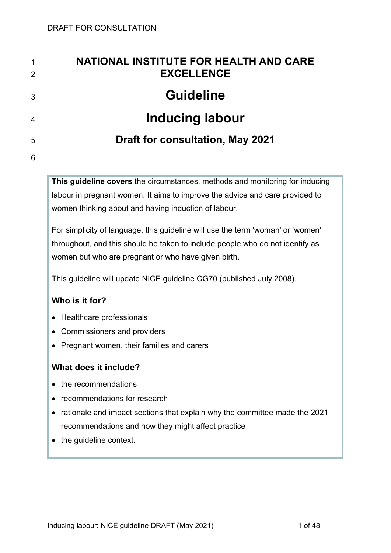| $\mathbf 1$<br>2 | <b>NATIONAL INSTITUTE FOR HEALTH AND CARE</b><br><b>EXCELLENCE</b> |
|------------------|--------------------------------------------------------------------|
| 3                | <b>Guideline</b>                                                   |
| $\overline{4}$   | <b>Inducing labour</b>                                             |
| 5                | <b>Draft for consultation, May 2021</b>                            |
| 6                |                                                                    |

**This guideline covers** the circumstances, methods and monitoring for inducing labour in pregnant women. It aims to improve the advice and care provided to women thinking about and having induction of labour.

For simplicity of language, this guideline will use the term 'woman' or 'women' throughout, and this should be taken to include people who do not identify as women but who are pregnant or who have given birth.

This guideline will update NICE guideline CG70 (published July 2008).

## **Who is it for?**

- Healthcare professionals
- Commissioners and providers
- Pregnant women, their families and carers

## **What does it include?**

- the recommendations
- recommendations for research
- rationale and impact sections that explain why the committee made the 2021 recommendations and how they might affect practice
- the guideline context.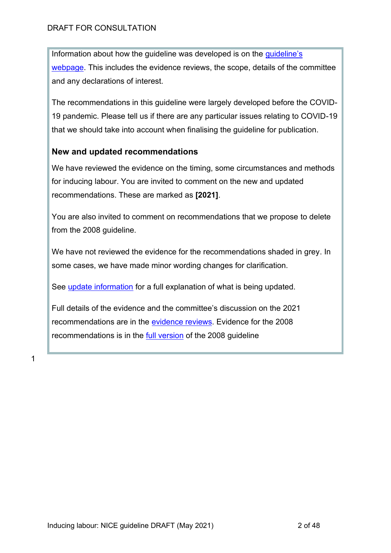Information about how the guideline was developed is on the [guideline's](https://www.nice.org.uk/guidance/indevelopment/gid-ng10082)  [webpage.](https://www.nice.org.uk/guidance/indevelopment/gid-ng10082) This includes the evidence reviews, the scope, details of the committee and any declarations of interest.

The recommendations in this guideline were largely developed before the COVID-19 pandemic. Please tell us if there are any particular issues relating to COVID-19 that we should take into account when finalising the guideline for publication.

## **New and updated recommendations**

We have reviewed the evidence on the timing, some circumstances and methods for inducing labour. You are invited to comment on the new and updated recommendations. These are marked as **[2021]**.

You are also invited to comment on recommendations that we propose to delete from the 2008 guideline.

We have not reviewed the evidence for the recommendations shaded in grey. In some cases, we have made minor wording changes for clarification.

See [update information](#page-29-0) for a full explanation of what is being updated.

Full details of the evidence and the committee's discussion on the 2021 recommendations are in the [evidence reviews.](https://www.nice.org.uk/guidance/indevelopment/gid-ng10082) Evidence for the 2008 recommendations is in the [full version](https://www.nice.org.uk/guidance/cg70/evidence) of the 2008 guideline

1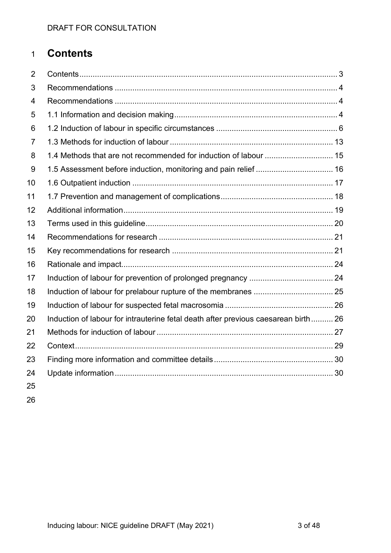# **Contents**

| 2              |                                                                                    |  |
|----------------|------------------------------------------------------------------------------------|--|
| 3              |                                                                                    |  |
| $\overline{4}$ |                                                                                    |  |
| 5              |                                                                                    |  |
| 6              |                                                                                    |  |
| $\overline{7}$ |                                                                                    |  |
| 8              | 1.4 Methods that are not recommended for induction of labour  15                   |  |
| 9              |                                                                                    |  |
| 10             |                                                                                    |  |
| 11             |                                                                                    |  |
| 12             |                                                                                    |  |
| 13             |                                                                                    |  |
| 14             |                                                                                    |  |
| 15             |                                                                                    |  |
| 16             |                                                                                    |  |
| 17             |                                                                                    |  |
| 18             |                                                                                    |  |
| 19             |                                                                                    |  |
| 20             | Induction of labour for intrauterine fetal death after previous caesarean birth 26 |  |
| 21             |                                                                                    |  |
| 22             |                                                                                    |  |
| 23             |                                                                                    |  |
| 24             |                                                                                    |  |
| 25             |                                                                                    |  |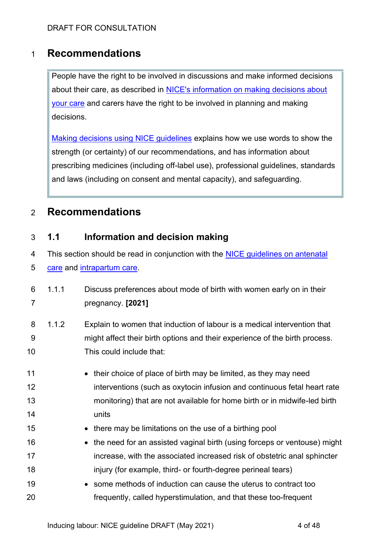# 1 **Recommendations**

People have the right to be involved in discussions and make informed decisions about their care, as described in [NICE's information on making decisions about](https://www.nice.org.uk/about/nice-communities/nice-and-the-public/making-decisions-about-your-care)  [your care](https://www.nice.org.uk/about/nice-communities/nice-and-the-public/making-decisions-about-your-care) and carers have the right to be involved in planning and making decisions.

[Making decisions using NICE guidelines](http://www.nice.org.uk/about/what-we-do/our-programmes/nice-guidance/nice-guidelines/using-NICE-guidelines-to-make-decisions) explains how we use words to show the strength (or certainty) of our recommendations, and has information about prescribing medicines (including off-label use), professional guidelines, standards and laws (including on consent and mental capacity), and safeguarding.

# 2 **Recommendations**

## <span id="page-3-0"></span>3 **1.1 Information and decision making**

4 This section should be read in conjunction with the [NICE guidelines](https://www.nice.org.uk/guidance/cg62) on antenatal

5 [care](https://www.nice.org.uk/guidance/cg62) and [intrapartum care.](https://www.nice.org.uk/guidance/cg190)

| 6 1.1.1 | Discuss preferences about mode of birth with women early on in their     |
|---------|--------------------------------------------------------------------------|
|         | pregnancy. [2021]                                                        |
| 8 1.1.2 | Explain to women that induction of labour is a medical intervention that |

- 9 might affect their birth options and their experience of the birth process. 10 This could include that:
- 11 their choice of place of birth may be limited, as they may need 12 **interventions (such as oxytocin infusion and continuous fetal heart rate** 13 monitoring) that are not available for home birth or in midwife-led birth 14 units
- 15 there may be limitations on the use of a birthing pool
- 16 the need for an assisted vaginal birth (using forceps or ventouse) might 17 **increase, with the associated increased risk of obstetric anal sphincter** 18 injury (for example, third- or fourth-degree perineal tears)
- 19 **•** some methods of induction can cause the uterus to contract too 20 frequently, called hyperstimulation, and that these too-frequent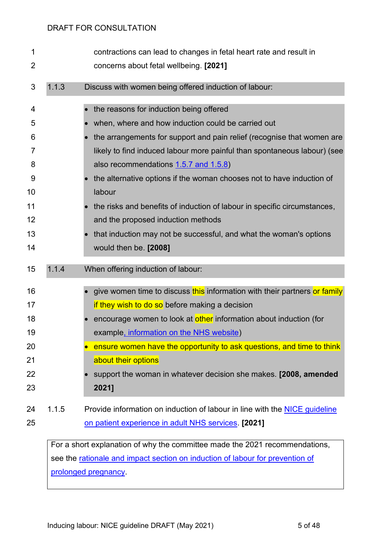| 1<br>$\overline{2}$                                      |       | contractions can lead to changes in fetal heart rate and result in<br>concerns about fetal wellbeing. [2021]                                                                                                                                                                                                                                                                                                                                                                                                                                                                                     |
|----------------------------------------------------------|-------|--------------------------------------------------------------------------------------------------------------------------------------------------------------------------------------------------------------------------------------------------------------------------------------------------------------------------------------------------------------------------------------------------------------------------------------------------------------------------------------------------------------------------------------------------------------------------------------------------|
| 3                                                        | 1.1.3 | Discuss with women being offered induction of labour:                                                                                                                                                                                                                                                                                                                                                                                                                                                                                                                                            |
| 4<br>5<br>6<br>7<br>8<br>9<br>10<br>11<br>12<br>13<br>14 |       | the reasons for induction being offered<br>when, where and how induction could be carried out<br>the arrangements for support and pain relief (recognise that women are<br>likely to find induced labour more painful than spontaneous labour) (see<br>also recommendations 1.5.7 and 1.5.8)<br>the alternative options if the woman chooses not to have induction of<br>labour<br>the risks and benefits of induction of labour in specific circumstances,<br>and the proposed induction methods<br>that induction may not be successful, and what the woman's options<br>would then be. [2008] |
| 15                                                       | 1.1.4 | When offering induction of labour:                                                                                                                                                                                                                                                                                                                                                                                                                                                                                                                                                               |
| 16<br>17<br>18<br>19<br>20<br>21<br>22<br>23             |       | give women time to discuss this information with their partners or family<br>if they wish to do so before making a decision<br>encourage women to look at other information about induction (for<br>example, information on the NHS website)<br>ensure women have the opportunity to ask questions, and time to think<br>about their options<br>support the woman in whatever decision she makes. [2008, amended<br>2021]                                                                                                                                                                        |
| 24<br>25                                                 | 1.1.5 | Provide information on induction of labour in line with the NICE guideline<br>on patient experience in adult NHS services. [2021]                                                                                                                                                                                                                                                                                                                                                                                                                                                                |

For a short explanation of why the committee made the 2021 recommendations, see the [rationale and impact section on induction of labour for prevention of](#page-23-0)  [prolonged pregnancy.](#page-23-0)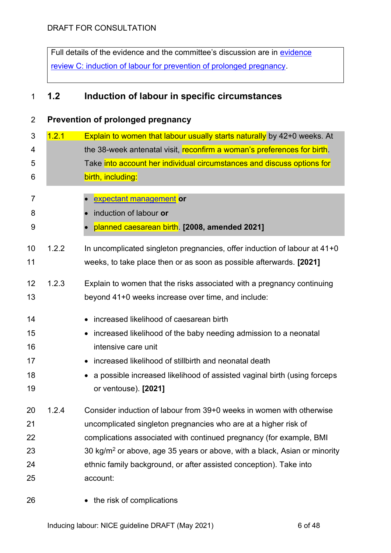Full details of the [evidence](http://www.nice.org.uk/guidance/indevelopment/gid-ngxxx/documents) and the committee's discussion are in evidence review [C: induction of labour for prevention of prolonged pregnancy.](http://www.nice.org.uk/guidance/indevelopment/gid-ngxxx/documents)

# **1.2 Induction of labour in specific circumstances**

<span id="page-5-0"></span>

| 2              |       | Prevention of prolonged pregnancy                                                     |
|----------------|-------|---------------------------------------------------------------------------------------|
| 3              | 1.2.1 | Explain to women that labour usually starts naturally by 42+0 weeks. At               |
| 4              |       | the 38-week antenatal visit, reconfirm a woman's preferences for birth.               |
| 5              |       | Take into account her individual circumstances and discuss options for                |
| 6              |       | birth, including:                                                                     |
| $\overline{7}$ |       | expectant management or                                                               |
| 8              |       | induction of labour or                                                                |
| 9              |       | planned caesarean birth. [2008, amended 2021]                                         |
|                |       |                                                                                       |
| 10             | 1.2.2 | In uncomplicated singleton pregnancies, offer induction of labour at 41+0             |
| 11             |       | weeks, to take place then or as soon as possible afterwards. [2021]                   |
| 12             | 1.2.3 |                                                                                       |
|                |       | Explain to women that the risks associated with a pregnancy continuing                |
| 13             |       | beyond 41+0 weeks increase over time, and include:                                    |
| 14             |       | increased likelihood of caesarean birth                                               |
| 15             |       | increased likelihood of the baby needing admission to a neonatal                      |
| 16             |       | intensive care unit                                                                   |
| 17             |       | increased likelihood of stillbirth and neonatal death                                 |
| 18             |       | a possible increased likelihood of assisted vaginal birth (using forceps              |
| 19             |       | or ventouse). [2021]                                                                  |
|                |       |                                                                                       |
| 20             | 1.2.4 | Consider induction of labour from 39+0 weeks in women with otherwise                  |
| 21             |       | uncomplicated singleton pregnancies who are at a higher risk of                       |
| 22             |       | complications associated with continued pregnancy (for example, BMI                   |
| 23             |       | 30 kg/m <sup>2</sup> or above, age 35 years or above, with a black, Asian or minority |
| 24             |       | ethnic family background, or after assisted conception). Take into                    |
| 25             |       | account:                                                                              |
| 26             |       | • the risk of complications                                                           |

Inducing labour: NICE guideline DRAFT (May 2021) 6 of 48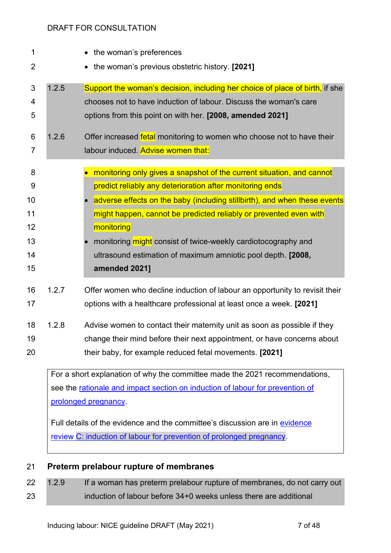| 1                                          |       | the woman's preferences                                                                                                                                                                                                                                                                                                                                                                                                                             |
|--------------------------------------------|-------|-----------------------------------------------------------------------------------------------------------------------------------------------------------------------------------------------------------------------------------------------------------------------------------------------------------------------------------------------------------------------------------------------------------------------------------------------------|
| $\overline{2}$                             |       | the woman's previous obstetric history. [2021]                                                                                                                                                                                                                                                                                                                                                                                                      |
| 3<br>4<br>5                                | 1.2.5 | Support the woman's decision, including her choice of place of birth, if she<br>chooses not to have induction of labour. Discuss the woman's care<br>options from this point on with her. [2008, amended 2021]                                                                                                                                                                                                                                      |
| 6<br>7                                     | 1.2.6 | Offer increased fetal monitoring to women who choose not to have their<br>labour induced. Advise women that:                                                                                                                                                                                                                                                                                                                                        |
| 8<br>9<br>10<br>11<br>12<br>13<br>14<br>15 |       | monitoring only gives a snapshot of the current situation, and cannot<br>predict reliably any deterioration after monitoring ends<br>adverse effects on the baby (including stillbirth), and when these events<br>might happen, cannot be predicted reliably or prevented even with<br>monitoring<br>monitoring might consist of twice-weekly cardiotocography and<br>ultrasound estimation of maximum amniotic pool depth. [2008,<br>amended 2021] |
| 16<br>17                                   | 1.2.7 | Offer women who decline induction of labour an opportunity to revisit their<br>options with a healthcare professional at least once a week. [2021]                                                                                                                                                                                                                                                                                                  |
| 18<br>19<br>20                             | 1.2.8 | Advise women to contact their maternity unit as soon as possible if they<br>change their mind before their next appointment, or have concerns about<br>their baby, for example reduced fetal movements. [2021]                                                                                                                                                                                                                                      |
|                                            |       | For a short explanation of why the committee made the 2021 recommendations,<br>see the rationale and impact section on induction of labour for prevention of<br>prolonged pregnancy                                                                                                                                                                                                                                                                 |

Full details of the [evidence](http://www.nice.org.uk/guidance/indevelopment/gid-ngxxx/documents) and the committee's discussion are in evidence review [C: induction of labour for prevention of prolonged pregnancy.](http://www.nice.org.uk/guidance/indevelopment/gid-ngxxx/documents)

## <span id="page-6-0"></span>**Preterm prelabour rupture of membranes**

22 1.2.9 If a woman has preterm prelabour rupture of membranes, do not carry out induction of labour before 34+0 weeks unless there are additional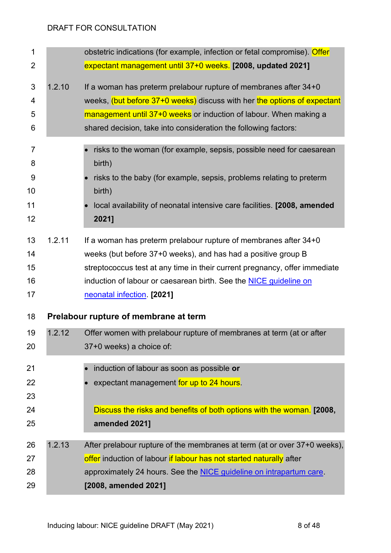<span id="page-7-0"></span>

| 1<br>$\overline{2}$                        |        | obstetric indications (for example, infection or fetal compromise). Offer<br>expectant management until 37+0 weeks. [2008, updated 2021]                                                                                                                                                                          |
|--------------------------------------------|--------|-------------------------------------------------------------------------------------------------------------------------------------------------------------------------------------------------------------------------------------------------------------------------------------------------------------------|
| 3<br>4<br>5<br>6                           | 1.2.10 | If a woman has preterm prelabour rupture of membranes after 34+0<br>weeks, (but before 37+0 weeks) discuss with her the options of expectant<br>management until 37+0 weeks or induction of labour. When making a<br>shared decision, take into consideration the following factors:                              |
| $\overline{7}$<br>8<br>9<br>10<br>11<br>12 |        | risks to the woman (for example, sepsis, possible need for caesarean<br>birth)<br>risks to the baby (for example, sepsis, problems relating to preterm<br>birth)<br>local availability of neonatal intensive care facilities. [2008, amended<br>2021]                                                             |
| 13<br>14<br>15<br>16<br>17                 | 1.2.11 | If a woman has preterm prelabour rupture of membranes after 34+0<br>weeks (but before 37+0 weeks), and has had a positive group B<br>streptococcus test at any time in their current pregnancy, offer immediate<br>induction of labour or caesarean birth. See the NICE guideline on<br>neonatal infection [2021] |
| 18                                         |        | Prelabour rupture of membrane at term                                                                                                                                                                                                                                                                             |
| 19<br>20                                   | 1.2.12 | Offer women with prelabour rupture of membranes at term (at or after<br>37+0 weeks) a choice of:                                                                                                                                                                                                                  |
| 21<br>22<br>23<br>24<br>25                 |        | induction of labour as soon as possible or<br>expectant management for up to 24 hours.<br>Discuss the risks and benefits of both options with the woman. [2008,<br>amended 2021]                                                                                                                                  |
| 26<br>27<br>28<br>29                       | 1.2.13 | After prelabour rupture of the membranes at term (at or over 37+0 weeks),<br>offer induction of labour if labour has not started naturally after<br>approximately 24 hours. See the <b>NICE</b> guideline on intrapartum care.<br>[2008, amended 2021]                                                            |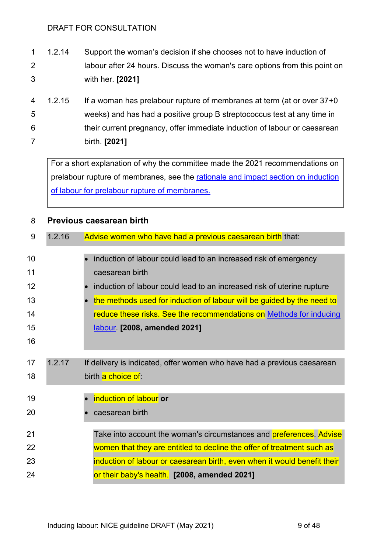- 1.2.14 Support the woman's decision if she chooses not to have induction of labour after 24 hours. Discuss the woman's care options from this point on with her. **[2021]**
- 1.2.15 If a woman has prelabour rupture of membranes at term (at or over 37+0 weeks) and has had a positive group B streptococcus test at any time in their current pregnancy, offer immediate induction of labour or caesarean birth. **[2021]**

For a short explanation of why the committee made the 2021 recommendations on prelabour rupture of membranes, see the rationale and impact section on induction [of labour for prelabour rupture of membranes.](#page-24-0)

| 8  |        | Previous caesarean birth                                                 |
|----|--------|--------------------------------------------------------------------------|
| 9  | 1.2.16 | Advise women who have had a previous caesarean birth that:               |
|    |        |                                                                          |
| 10 |        | induction of labour could lead to an increased risk of emergency         |
| 11 |        | caesarean birth                                                          |
| 12 |        | induction of labour could lead to an increased risk of uterine rupture   |
| 13 |        | the methods used for induction of labour will be guided by the need to   |
| 14 |        | reduce these risks. See the recommendations on Methods for inducing      |
| 15 |        | labour [2008, amended 2021]                                              |
| 16 |        |                                                                          |
|    |        |                                                                          |
| 17 | 1.2.17 | If delivery is indicated, offer women who have had a previous caesarean  |
| 18 |        | birth a choice of:                                                       |
|    |        |                                                                          |
| 19 |        | induction of labour or                                                   |
| 20 |        | caesarean birth                                                          |
|    |        |                                                                          |
| 21 |        | Take into account the woman's circumstances and preferences. Advise      |
| 22 |        | women that they are entitled to decline the offer of treatment such as   |
| 23 |        | induction of labour or caesarean birth, even when it would benefit their |
| 24 |        | or their baby's health. [2008, amended 2021]                             |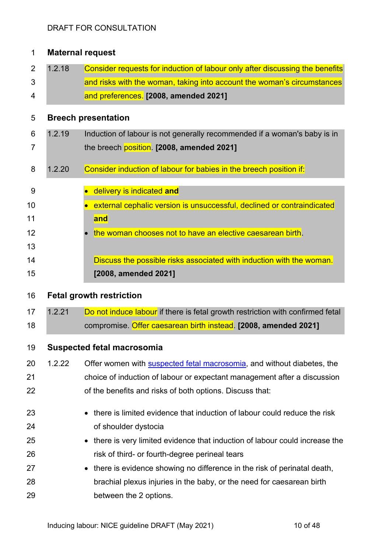<span id="page-9-0"></span>

| 1              |        | <b>Maternal request</b>                                                        |
|----------------|--------|--------------------------------------------------------------------------------|
| $\overline{2}$ | 1.2.18 | Consider requests for induction of labour only after discussing the benefits   |
| 3              |        | and risks with the woman, taking into account the woman's circumstances        |
| 4              |        | and preferences. [2008, amended 2021]                                          |
| 5              |        | <b>Breech presentation</b>                                                     |
| 6              | 1.2.19 | Induction of labour is not generally recommended if a woman's baby is in       |
| 7              |        | the breech position. [2008, amended 2021]                                      |
| 8              | 1.2.20 | Consider induction of labour for babies in the breech position if:             |
| 9              |        | delivery is indicated and                                                      |
| 10             |        | external cephalic version is unsuccessful, declined or contraindicated         |
| 11             |        | and                                                                            |
| 12             |        | the woman chooses not to have an elective caesarean birth.                     |
| 13             |        |                                                                                |
| 14             |        | Discuss the possible risks associated with induction with the woman.           |
| 15             |        | [2008, amended 2021]                                                           |
| 16             |        | <b>Fetal growth restriction</b>                                                |
| 17             | 1.2.21 | Do not induce labour if there is fetal growth restriction with confirmed fetal |
| 18             |        | compromise. Offer caesarean birth instead. [2008, amended 2021]                |
| 19             |        | <b>Suspected fetal macrosomia</b>                                              |
| 20             | 1.2.22 | Offer women with <b>suspected fetal macrosomia</b> , and without diabetes, the |
| 21             |        | choice of induction of labour or expectant management after a discussion       |
| 22             |        | of the benefits and risks of both options. Discuss that:                       |
| 23             |        | there is limited evidence that induction of labour could reduce the risk       |
| 24             |        | of shoulder dystocia                                                           |
| 25             |        | there is very limited evidence that induction of labour could increase the     |
| 26             |        | risk of third- or fourth-degree perineal tears                                 |
| 27             |        | there is evidence showing no difference in the risk of perinatal death,        |
| 28             |        | brachial plexus injuries in the baby, or the need for caesarean birth          |
| 29             |        | between the 2 options.                                                         |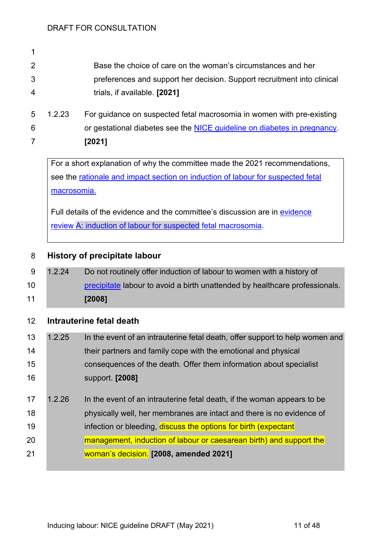| 2 | Base the choice of care on the woman's circumstances and her            |
|---|-------------------------------------------------------------------------|
| 3 | preferences and support her decision. Support recruitment into clinical |
| 4 | trials, if available. [2021]                                            |
|   |                                                                         |

 1.2.23 For guidance on suspected fetal macrosomia in women with pre-existing or gestational diabetes see the [NICE guideline on diabetes in pregnancy.](https://www.nice.org.uk/guidance/ng3/chapter/Recommendations#intrapartum-care) **[2021]**

For a short explanation of why the committee made the 2021 recommendations, see the rationale and impact section on induction of labour for suspected fetal macrosomia.

Full details of the evidence and the committee's discussion are in [evidence](http://www.nice.org.uk/guidance/indevelopment/gid-ngxxx/documents)  review [A: induction of labour for suspected](http://www.nice.org.uk/guidance/indevelopment/gid-ngxxx/documents) fetal macrosomia.

## **History of precipitate labour**

 1.2.24 Do not routinely offer induction of labour to women with a history of [precipitate](#page-20-0) labour to avoid a birth unattended by healthcare professionals. **[2008]**

## <span id="page-10-0"></span>**Intrauterine fetal death**

- 1.2.25 In the event of an intrauterine fetal death, offer support to help women and **their partners and family cope with the emotional and physical**  consequences of the death. Offer them information about specialist support. **[2008]**
- 17 1.2.26 In the event of an intrauterine fetal death, if the woman appears to be physically well, her membranes are intact and there is no evidence of **infection or bleeding, discuss the options for birth (expectant**  management, induction of labour or caesarean birth) and support the woman's decision. **[2008, amended 2021]**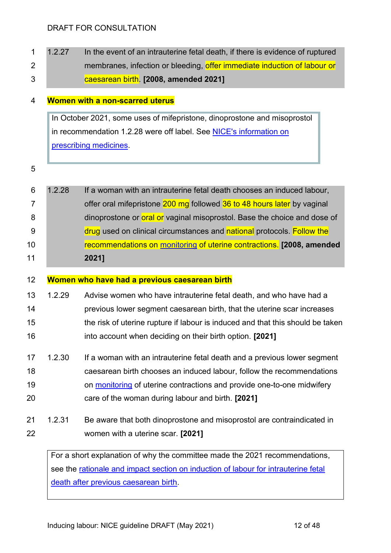1 1.2.27 In the event of an intrauterine fetal death, if there is evidence of ruptured 2 membranes, infection or bleeding, offer immediate induction of labour or caesarean birth. **[2008, amended 2021]**

#### **Women with a non-scarred uterus**

In October 2021, some uses of mifepristone, dinoprostone and misoprostol in recommendation 1.2.28 were off label. See NICE's information on [prescribing medicines.](https://www.nice.org.uk/about/what-we-do/our-programmes/nice-guidance/nice-guidelines/making-decisions-using-nice-guidelines#prescribing-medicines)

| 11             |        | 2021]                                                                    |
|----------------|--------|--------------------------------------------------------------------------|
| 10             |        | recommendations on monitoring of uterine contractions. [2008, amended    |
| - 9            |        | drug used on clinical circumstances and national protocols. Follow the   |
| -8             |        | dinoprostone or oral or vaginal misoprostol. Base the choice and dose of |
| $\overline{7}$ |        | offer oral mifepristone 200 mg followed 36 to 48 hours later by vaginal  |
| -6             | 1.2.28 | If a woman with an intrauterine fetal death chooses an induced labour,   |

#### <span id="page-11-0"></span>**Women who have had a previous caesarean birth**

- 1.2.29 Advise women who have intrauterine fetal death, and who have had a previous lower segment caesarean birth, that the uterine scar increases the risk of uterine rupture if labour is induced and that this should be taken into account when deciding on their birth option. **[2021]**
- 1.2.30 If a woman with an intrauterine fetal death and a previous lower segment caesarean birth chooses an induced labour, follow the recommendations **19** on [monitoring](#page-15-0) of uterine contractions and provide one-to-one midwifery care of the woman during labour and birth. **[2021]**
- 1.2.31 Be aware that both dinoprostone and misoprostol are contraindicated in women with a uterine scar. **[2021]**

For a short explanation of why the committee made the 2021 recommendations, see the [rationale and impact section on induction of labour for intrauterine fetal](#page-25-0)  [death after previous caesarean birth.](#page-25-0)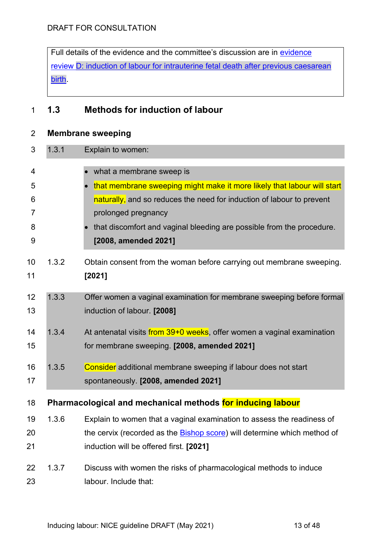Full details of the [evidence](http://www.nice.org.uk/guidance/indevelopment/gid-ngxxx/documents) and the committee's discussion are in evidence review [D: induction of labour for intrauterine fetal death after previous caesarean](http://www.nice.org.uk/guidance/indevelopment/gid-ngxxx/documents)  [birth.](http://www.nice.org.uk/guidance/indevelopment/gid-ngxxx/documents)

# **1.3 Methods for induction of labour**

## <span id="page-12-1"></span>**Membrane sweeping**

<span id="page-12-0"></span>

| 3  | 1.3.1 | Explain to women:                                                                |
|----|-------|----------------------------------------------------------------------------------|
| 4  |       | what a membrane sweep is                                                         |
| 5  |       | that membrane sweeping might make it more likely that labour will start          |
| 6  |       | naturally, and so reduces the need for induction of labour to prevent            |
| 7  |       | prolonged pregnancy                                                              |
| 8  |       | that discomfort and vaginal bleeding are possible from the procedure.            |
| 9  |       | [2008, amended 2021]                                                             |
| 10 | 1.3.2 | Obtain consent from the woman before carrying out membrane sweeping.             |
| 11 |       | [2021]                                                                           |
|    |       |                                                                                  |
| 12 | 1.3.3 | Offer women a vaginal examination for membrane sweeping before formal            |
| 13 |       | induction of labour. [2008]                                                      |
| 14 | 1.3.4 | At antenatal visits from 39+0 weeks, offer women a vaginal examination           |
| 15 |       | for membrane sweeping. [2008, amended 2021]                                      |
| 16 | 1.3.5 | Consider additional membrane sweeping if labour does not start                   |
| 17 |       | spontaneously. [2008, amended 2021]                                              |
|    |       |                                                                                  |
| 18 |       | Pharmacological and mechanical methods for inducing labour                       |
| 19 | 1.3.6 | Explain to women that a vaginal examination to assess the readiness of           |
| 20 |       | the cervix (recorded as the <b>Bishop score</b> ) will determine which method of |
| 21 |       | induction will be offered first. [2021]                                          |
| 22 | 1.3.7 | Discuss with women the risks of pharmacological methods to induce                |
| 23 |       | labour. Include that:                                                            |
|    |       |                                                                                  |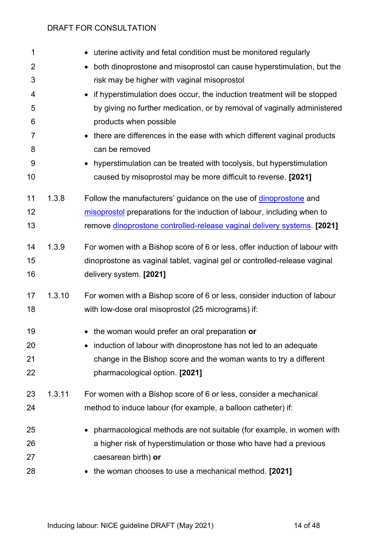| 1              |        | uterine activity and fetal condition must be monitored regularly                     |
|----------------|--------|--------------------------------------------------------------------------------------|
| $\overline{2}$ |        | both dinoprostone and misoprostol can cause hyperstimulation, but the                |
| 3              |        | risk may be higher with vaginal misoprostol                                          |
| 4              |        | if hyperstimulation does occur, the induction treatment will be stopped<br>$\bullet$ |
| 5              |        | by giving no further medication, or by removal of vaginally administered             |
| 6              |        | products when possible                                                               |
| 7              |        | there are differences in the ease with which different vaginal products              |
| 8              |        | can be removed                                                                       |
| 9              |        | hyperstimulation can be treated with tocolysis, but hyperstimulation                 |
| 10             |        | caused by misoprostol may be more difficult to reverse. [2021]                       |
| 11             | 1.3.8  | Follow the manufacturers' guidance on the use of dinoprostone and                    |
| 12             |        | misoprostol preparations for the induction of labour, including when to              |
| 13             |        | remove dinoprostone controlled-release vaginal delivery systems. [2021]              |
|                |        |                                                                                      |
| 14             | 1.3.9  | For women with a Bishop score of 6 or less, offer induction of labour with           |
| 15             |        | dinoprostone as vaginal tablet, vaginal gel or controlled-release vaginal            |
| 16             |        | delivery system. [2021]                                                              |
| 17             | 1.3.10 | For women with a Bishop score of 6 or less, consider induction of labour             |
| 18             |        | with low-dose oral misoprostol (25 micrograms) if:                                   |
| 19             |        | • the woman would prefer an oral preparation or                                      |
| 20             |        | induction of labour with dinoprostone has not led to an adequate                     |
| 21             |        | change in the Bishop score and the woman wants to try a different                    |
| 22             |        | pharmacological option. [2021]                                                       |
|                |        |                                                                                      |
| 23             | 1.3.11 | For women with a Bishop score of 6 or less, consider a mechanical                    |
| 24             |        | method to induce labour (for example, a balloon catheter) if:                        |
| 25             |        | pharmacological methods are not suitable (for example, in women with                 |
| 26             |        | a higher risk of hyperstimulation or those who have had a previous                   |
| 27             |        | caesarean birth) or                                                                  |
| 28             |        | the woman chooses to use a mechanical method. [2021]                                 |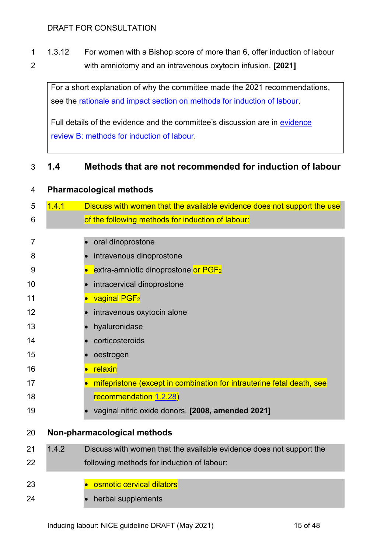1.3.12 For women with a Bishop score of more than 6, offer induction of labour with amniotomy and an intravenous oxytocin infusion. **[2021]**

For a short explanation of why the committee made the 2021 recommendations, see the [rationale and impact section on methods for induction of labour.](#page-26-0)

Full details of the [evidence](http://www.nice.org.uk/guidance/indevelopment/gid-ngxxx/documents) and the committee's discussion are in evidence review [B: methods for induction of labour.](http://www.nice.org.uk/guidance/indevelopment/gid-ngxxx/documents)

## **1.4 Methods that are not recommended for induction of labour**

| 4              | <b>Pharmacological methods</b> |                                                                         |  |  |
|----------------|--------------------------------|-------------------------------------------------------------------------|--|--|
| 5              | 1.4.1                          | Discuss with women that the available evidence does not support the use |  |  |
| 6              |                                | of the following methods for induction of labour:                       |  |  |
|                |                                |                                                                         |  |  |
| $\overline{7}$ |                                | oral dinoprostone                                                       |  |  |
| 8              |                                | intravenous dinoprostone                                                |  |  |
| 9              |                                | extra-amniotic dinoprostone or PGF <sub>2</sub><br>$\bullet$            |  |  |
| 10             |                                | intracervical dinoprostone                                              |  |  |
| 11             |                                | vaginal PGF <sub>2</sub><br>$\bullet$                                   |  |  |
| 12             |                                | intravenous oxytocin alone                                              |  |  |
| 13             |                                | hyaluronidase                                                           |  |  |
| 14             |                                | corticosteroids                                                         |  |  |
| 15             |                                | oestrogen                                                               |  |  |
| 16             |                                | relaxin                                                                 |  |  |
| 17             |                                | mifepristone (except in combination for intrauterine fetal death, see   |  |  |
| 18             |                                | recommendation 1.2.28)                                                  |  |  |
| 19             |                                | vaginal nitric oxide donors. [2008, amended 2021]                       |  |  |
| 20             |                                | Non-pharmacological methods                                             |  |  |
| 21             | 1.4.2                          | Discuss with women that the available evidence does not support the     |  |  |
| 22             |                                | following methods for induction of labour:                              |  |  |
| 23             |                                | osmotic cervical dilators                                               |  |  |
| 24             |                                | herbal supplements                                                      |  |  |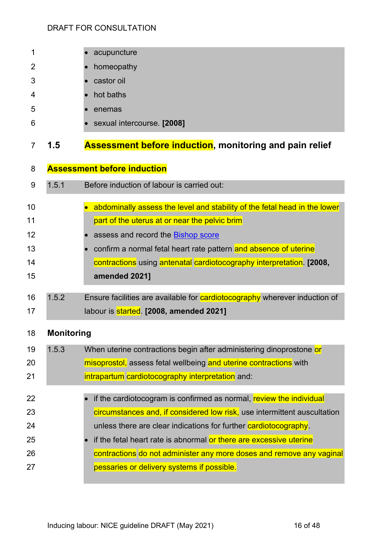<span id="page-15-1"></span><span id="page-15-0"></span>

| 1  |                   | acupuncture                                                                |
|----|-------------------|----------------------------------------------------------------------------|
| 2  |                   | homeopathy                                                                 |
| 3  |                   | castor oil                                                                 |
| 4  |                   | hot baths                                                                  |
| 5  |                   | enemas                                                                     |
| 6  |                   | sexual intercourse. [2008]                                                 |
| 7  | 1.5               | <b>Assessment before induction, monitoring and pain relief</b>             |
| 8  |                   | <b>Assessment before induction</b>                                         |
| 9  | 1.5.1             | Before induction of labour is carried out:                                 |
| 10 |                   | abdominally assess the level and stability of the fetal head in the lower  |
| 11 |                   | part of the uterus at or near the pelvic brim                              |
| 12 |                   | assess and record the Bishop score                                         |
| 13 |                   | confirm a normal fetal heart rate pattern and absence of uterine           |
| 14 |                   | contractions using antenatal cardiotocography interpretation. [2008,       |
| 15 |                   | amended 2021]                                                              |
| 16 | 1.5.2             | Ensure facilities are available for cardiotocography wherever induction of |
| 17 |                   | labour is started. [2008, amended 2021]                                    |
| 18 | <b>Monitoring</b> |                                                                            |
| 19 | 1.5.3             | When uterine contractions begin after administering dinoprostone or        |
| 20 |                   | misoprostol, assess fetal wellbeing and uterine contractions with          |
| 21 |                   | intrapartum cardiotocography interpretation and:                           |
| 22 |                   | if the cardiotocogram is confirmed as normal, review the individual        |
| 23 |                   | circumstances and, if considered low risk, use intermittent auscultation   |
| 24 |                   | unless there are clear indications for further cardiotocography.           |
| 25 |                   | if the fetal heart rate is abnormal or there are excessive uterine         |
| 26 |                   | contractions do not administer any more doses and remove any vaginal       |
| 27 |                   | pessaries or delivery systems if possible.                                 |
|    |                   |                                                                            |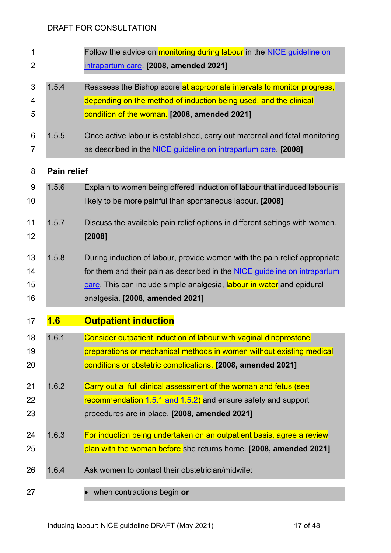<span id="page-16-0"></span>

| $\mathbf 1$    | Follow the advice on monitoring during labour in the NICE guideline on |                                                                             |  |
|----------------|------------------------------------------------------------------------|-----------------------------------------------------------------------------|--|
| $\overline{2}$ |                                                                        | intrapartum care [2008, amended 2021]                                       |  |
| 3              | 1.5.4                                                                  | Reassess the Bishop score at appropriate intervals to monitor progress,     |  |
| 4              |                                                                        | depending on the method of induction being used, and the clinical           |  |
| 5              |                                                                        | condition of the woman. [2008, amended 2021]                                |  |
| 6              | 1.5.5                                                                  | Once active labour is established, carry out maternal and fetal monitoring  |  |
| $\overline{7}$ |                                                                        | as described in the <b>NICE</b> guideline on intrapartum care. [2008]       |  |
| 8              | <b>Pain relief</b>                                                     |                                                                             |  |
| 9              | 1.5.6                                                                  | Explain to women being offered induction of labour that induced labour is   |  |
| 10             |                                                                        | likely to be more painful than spontaneous labour. [2008]                   |  |
| 11             | 1.5.7                                                                  | Discuss the available pain relief options in different settings with women. |  |
| 12             |                                                                        | [2008]                                                                      |  |
| 13             | 1.5.8                                                                  | During induction of labour, provide women with the pain relief appropriate  |  |
| 14             |                                                                        | for them and their pain as described in the NICE guideline on intrapartum   |  |
| 15             |                                                                        | care. This can include simple analgesia, labour in water and epidural       |  |
| 16             |                                                                        | analgesia. [2008, amended 2021]                                             |  |
| 17             | 1.6                                                                    | <b>Outpatient induction</b>                                                 |  |
| 18             | 1.6.1                                                                  | Consider outpatient induction of labour with vaginal dinoprostone           |  |
| 19             |                                                                        | preparations or mechanical methods in women without existing medical        |  |
| 20             |                                                                        | conditions or obstetric complications. [2008, amended 2021]                 |  |
| 21             | 1.6.2                                                                  | Carry out a full clinical assessment of the woman and fetus (see            |  |
| 22             |                                                                        | recommendation 1.5.1 and 1.5.2) and ensure safety and support               |  |
| 23             |                                                                        | procedures are in place. [2008, amended 2021]                               |  |
| 24             | 1.6.3                                                                  | For induction being undertaken on an outpatient basis, agree a review       |  |
| 25             |                                                                        | plan with the woman before she returns home. [2008, amended 2021]           |  |
| 26             | 1.6.4                                                                  | Ask women to contact their obstetrician/midwife:                            |  |
| 27             |                                                                        | when contractions begin or                                                  |  |
|                |                                                                        |                                                                             |  |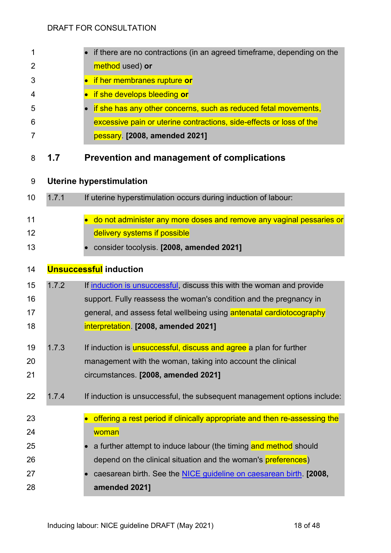| 1  |       | if there are no contractions (in an agreed timeframe, depending on the     |
|----|-------|----------------------------------------------------------------------------|
| 2  |       | method used) or                                                            |
| 3  |       | if her membranes rupture or                                                |
| 4  |       | if she develops bleeding or                                                |
| 5  |       | if she has any other concerns, such as reduced fetal movements,            |
| 6  |       | excessive pain or uterine contractions, side-effects or loss of the        |
| 7  |       | pessary. [2008, amended 2021]                                              |
| 8  | 1.7   | <b>Prevention and management of complications</b>                          |
|    |       |                                                                            |
| 9  |       | <b>Uterine hyperstimulation</b>                                            |
| 10 | 1.7.1 | If uterine hyperstimulation occurs during induction of labour:             |
| 11 |       | do not administer any more doses and remove any vaginal pessaries or       |
| 12 |       | delivery systems if possible                                               |
| 13 |       | consider tocolysis. [2008, amended 2021]                                   |
|    |       |                                                                            |
| 14 |       | <b>Unsuccessful induction</b>                                              |
| 15 | 1.7.2 | If induction is unsuccessful, discuss this with the woman and provide      |
| 16 |       | support. Fully reassess the woman's condition and the pregnancy in         |
| 17 |       | general, and assess fetal wellbeing using antenatal cardiotocography       |
| 18 |       | interpretation. [2008, amended 2021]                                       |
| 19 | 1.7.3 | If induction is <b>unsuccessful, discuss and agree</b> a plan for further  |
| 20 |       | management with the woman, taking into account the clinical                |
| 21 |       | circumstances. [2008, amended 2021]                                        |
| 22 | 1.7.4 | If induction is unsuccessful, the subsequent management options include:   |
|    |       |                                                                            |
| 23 |       | offering a rest period if clinically appropriate and then re-assessing the |
| 24 |       | woman                                                                      |
| 25 |       | a further attempt to induce labour (the timing and method should           |
| 26 |       | depend on the clinical situation and the woman's preferences)              |
| 27 |       | caesarean birth. See the <b>NICE</b> guideline on caesarean birth. [2008,  |
| 28 |       | amended 2021]                                                              |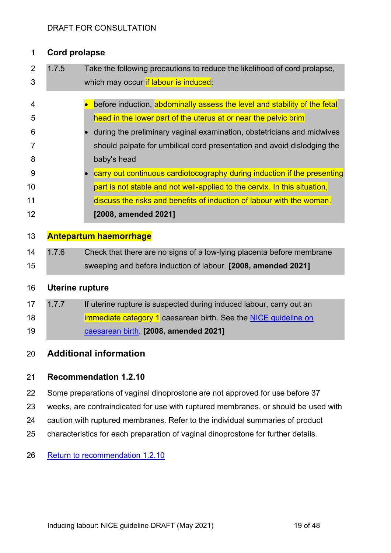## **Cord prolapse**

| 2                                      | 1.7.5                                                                              | Take the following precautions to reduce the likelihood of cord prolapse,                                                                                                                                                                                                                                                                                                                                                                                                                                                                          |  |
|----------------------------------------|------------------------------------------------------------------------------------|----------------------------------------------------------------------------------------------------------------------------------------------------------------------------------------------------------------------------------------------------------------------------------------------------------------------------------------------------------------------------------------------------------------------------------------------------------------------------------------------------------------------------------------------------|--|
| 3                                      | which may occur if labour is induced:                                              |                                                                                                                                                                                                                                                                                                                                                                                                                                                                                                                                                    |  |
| 4<br>5<br>6<br>7<br>8<br>9<br>10<br>11 |                                                                                    | before induction, abdominally assess the level and stability of the fetal<br>head in the lower part of the uterus at or near the pelvic brim<br>during the preliminary vaginal examination, obstetricians and midwives<br>should palpate for umbilical cord presentation and avoid dislodging the<br>baby's head<br>carry out continuous cardiotocography during induction if the presenting<br>part is not stable and not well-applied to the cervix. In this situation,<br>discuss the risks and benefits of induction of labour with the woman. |  |
| 12                                     |                                                                                    | [2008, amended 2021]                                                                                                                                                                                                                                                                                                                                                                                                                                                                                                                               |  |
| 13                                     |                                                                                    | <b>Antepartum haemorrhage</b>                                                                                                                                                                                                                                                                                                                                                                                                                                                                                                                      |  |
| 14                                     | 1.7.6                                                                              | Check that there are no signs of a low-lying placenta before membrane                                                                                                                                                                                                                                                                                                                                                                                                                                                                              |  |
| 15                                     |                                                                                    | sweeping and before induction of labour. [2008, amended 2021]                                                                                                                                                                                                                                                                                                                                                                                                                                                                                      |  |
| 16                                     | <b>Uterine rupture</b>                                                             |                                                                                                                                                                                                                                                                                                                                                                                                                                                                                                                                                    |  |
| 17                                     | 1.7.7                                                                              | If uterine rupture is suspected during induced labour, carry out an                                                                                                                                                                                                                                                                                                                                                                                                                                                                                |  |
| 18                                     |                                                                                    | immediate category 1 caesarean birth. See the NICE guideline on                                                                                                                                                                                                                                                                                                                                                                                                                                                                                    |  |
| 19                                     |                                                                                    | caesarean birth [2008, amended 2021]                                                                                                                                                                                                                                                                                                                                                                                                                                                                                                               |  |
| 20                                     |                                                                                    | <b>Additional information</b>                                                                                                                                                                                                                                                                                                                                                                                                                                                                                                                      |  |
| 21                                     |                                                                                    | <b>Recommendation 1.2.10</b>                                                                                                                                                                                                                                                                                                                                                                                                                                                                                                                       |  |
| 22                                     | Some preparations of vaginal dinoprostone are not approved for use before 37       |                                                                                                                                                                                                                                                                                                                                                                                                                                                                                                                                                    |  |
| 23                                     | weeks, are contraindicated for use with ruptured membranes, or should be used with |                                                                                                                                                                                                                                                                                                                                                                                                                                                                                                                                                    |  |

- caution with ruptured membranes. Refer to the individual summaries of product
- characteristics for each preparation of vaginal dinoprostone for further details.
- [Return to recommendation 1.2.10](#page-7-0)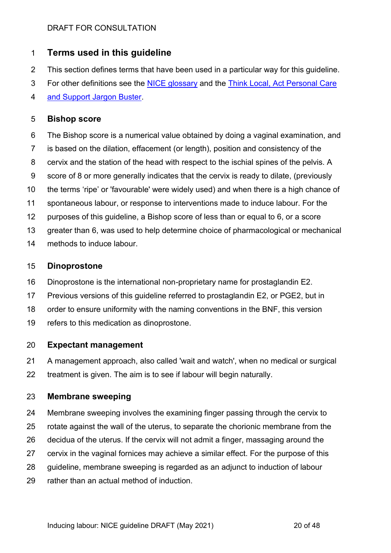## **Terms used in this guideline**

- This section defines terms that have been used in a particular way for this guideline.
- 3 For other definitions see the [NICE glossary](https://www.nice.org.uk/glossary) and the Think Local, Act Personal Care
- [and Support Jargon Buster.](http://www.thinklocalactpersonal.org.uk/Browse/Informationandadvice/CareandSupportJargonBuster/)

## <span id="page-19-1"></span>**Bishop score**

- <span id="page-19-2"></span> The Bishop score is a numerical value obtained by doing a vaginal examination, and is based on the dilation, effacement (or length), position and consistency of the cervix and the station of the head with respect to the ischial spines of the pelvis. A score of 8 or more generally indicates that the cervix is ready to dilate, (previously the terms 'ripe' or 'favourable' were widely used) and when there is a high chance of spontaneous labour, or response to interventions made to induce labour. For the purposes of this guideline, a Bishop score of less than or equal to 6, or a score greater than 6, was used to help determine choice of pharmacological or mechanical
- methods to induce labour.

## **Dinoprostone**

- Dinoprostone is the international non-proprietary name for prostaglandin E2.
- Previous versions of this guideline referred to prostaglandin E2, or PGE2, but in
- order to ensure uniformity with the naming conventions in the BNF, this version
- refers to this medication as dinoprostone.

## <span id="page-19-0"></span>**Expectant management**

 A management approach, also called 'wait and watch', when no medical or surgical treatment is given. The aim is to see if labour will begin naturally.

## **Membrane sweeping**

- Membrane sweeping involves the examining finger passing through the cervix to rotate against the wall of the uterus, to separate the chorionic membrane from the decidua of the uterus. If the cervix will not admit a finger, massaging around the cervix in the vaginal fornices may achieve a similar effect. For the purpose of this guideline, membrane sweeping is regarded as an adjunct to induction of labour
- rather than an actual method of induction.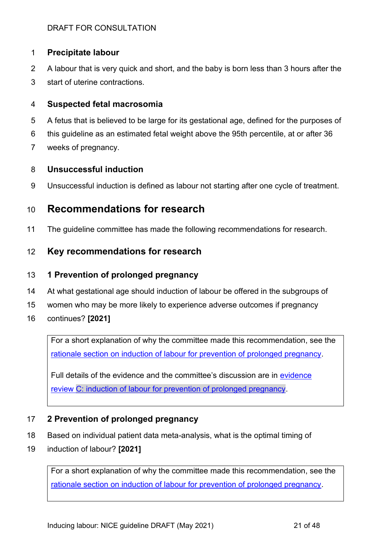## <span id="page-20-0"></span>**Precipitate labour**

- A labour that is very quick and short, and the baby is born less than 3 hours after the
- start of uterine contractions.

#### **Suspected fetal macrosomia**

- A fetus that is believed to be large for its gestational age, defined for the purposes of
- this guideline as an estimated fetal weight above the 95th percentile, at or after 36
- weeks of pregnancy.

## **Unsuccessful induction**

Unsuccessful induction is defined as labour not starting after one cycle of treatment.

# **Recommendations for research**

The guideline committee has made the following recommendations for research.

## **Key recommendations for research**

#### **1 Prevention of prolonged pregnancy**

- At what gestational age should induction of labour be offered in the subgroups of
- women who may be more likely to experience adverse outcomes if pregnancy
- continues? **[2021]**

For a short explanation of why the committee made this recommendation, see the [rationale section on induction of labour for prevention of prolonged pregnancy.](#page-23-0)

Full details of the [evidence](http://www.nice.org.uk/guidance/indevelopment/gid-ngxxx/documents) and the committee's discussion are in evidence review [C: induction of labour for prevention of prolonged pregnancy.](http://www.nice.org.uk/guidance/indevelopment/gid-ngxxx/documents)

## **2 Prevention of prolonged pregnancy**

- Based on individual patient data meta-analysis, what is the optimal timing of
- induction of labour? **[2021]**

For a short explanation of why the committee made this recommendation, see the [rationale section on induction of labour for prevention of prolonged pregnancy.](#page-23-0)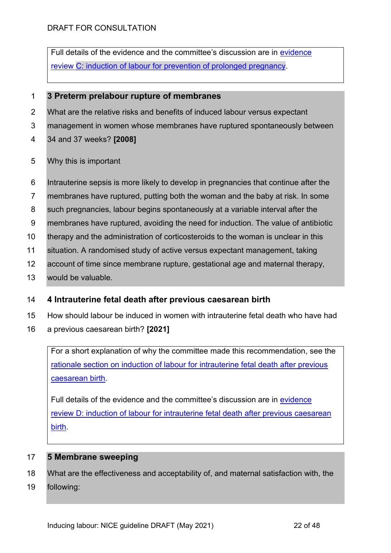Full details of the evidence and the committee's discussion are in [evidence](http://www.nice.org.uk/guidance/indevelopment/gid-ngxxx/documents)  review [C: induction of labour for prevention of prolonged pregnancy.](http://www.nice.org.uk/guidance/indevelopment/gid-ngxxx/documents)

## **3 Preterm prelabour rupture of membranes**

- What are the relative risks and benefits of induced labour versus expectant
- management in women whose membranes have ruptured spontaneously between
- 34 and 37 weeks? **[2008]**
- Why this is important
- Intrauterine sepsis is more likely to develop in pregnancies that continue after the
- membranes have ruptured, putting both the woman and the baby at risk. In some
- such pregnancies, labour begins spontaneously at a variable interval after the
- membranes have ruptured, avoiding the need for induction. The value of antibiotic
- therapy and the administration of corticosteroids to the woman is unclear in this
- situation. A randomised study of active versus expectant management, taking
- account of time since membrane rupture, gestational age and maternal therapy,
- would be valuable.

## **4 Intrauterine fetal death after previous caesarean birth**

- How should labour be induced in women with intrauterine fetal death who have had
- a previous caesarean birth? **[2021]**

For a short explanation of why the committee made this recommendation, see the [rationale section on induction of labour for](#page-25-0) intrauterine fetal death after previous [caesarean birth.](#page-25-0)

Full details of the evidence and the committee's discussion are in [evidence](http://www.nice.org.uk/guidance/indevelopment/gid-ngxxx/documents)  review D: induction of labour for [intrauterine fetal death after](http://www.nice.org.uk/guidance/indevelopment/gid-ngxxx/documents) previous caesarean [birth.](http://www.nice.org.uk/guidance/indevelopment/gid-ngxxx/documents)

## **5 Membrane sweeping**

- What are the effectiveness and acceptability of, and maternal satisfaction with, the
- following: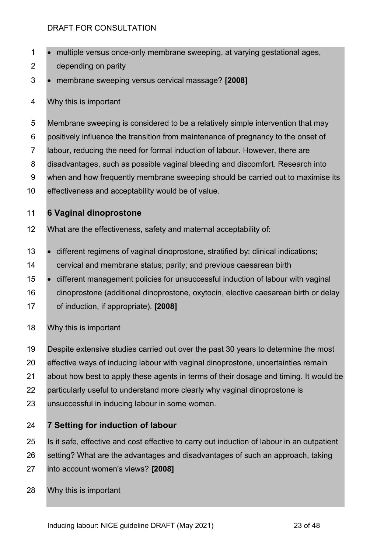- multiple versus once-only membrane sweeping, at varying gestational ages,
- depending on parity
- membrane sweeping versus cervical massage? **[2008]**
- Why this is important
- Membrane sweeping is considered to be a relatively simple intervention that may
- positively influence the transition from maintenance of pregnancy to the onset of
- labour, reducing the need for formal induction of labour. However, there are
- disadvantages, such as possible vaginal bleeding and discomfort. Research into
- when and how frequently membrane sweeping should be carried out to maximise its
- effectiveness and acceptability would be of value.

## **6 Vaginal dinoprostone**

- What are the effectiveness, safety and maternal acceptability of:
- different regimens of vaginal dinoprostone, stratified by: clinical indications;
- cervical and membrane status; parity; and previous caesarean birth
- different management policies for unsuccessful induction of labour with vaginal
- dinoprostone (additional dinoprostone, oxytocin, elective caesarean birth or delay of induction, if appropriate). **[2008]**
- Why this is important
- Despite extensive studies carried out over the past 30 years to determine the most
- effective ways of inducing labour with vaginal dinoprostone, uncertainties remain
- about how best to apply these agents in terms of their dosage and timing. It would be
- particularly useful to understand more clearly why vaginal dinoprostone is
- unsuccessful in inducing labour in some women.

## **7 Setting for induction of labour**

- Is it safe, effective and cost effective to carry out induction of labour in an outpatient
- setting? What are the advantages and disadvantages of such an approach, taking
- into account women's views? **[2008]**
- Why this is important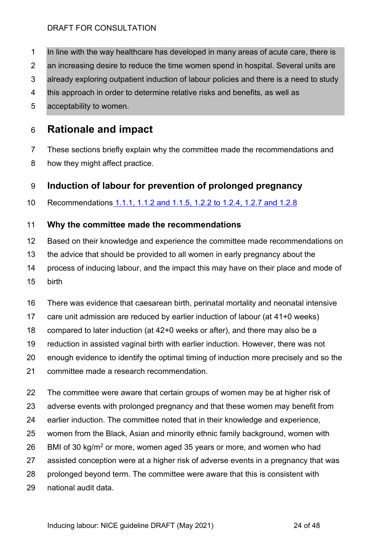- In line with the way healthcare has developed in many areas of acute care, there is
- an increasing desire to reduce the time women spend in hospital. Several units are
- already exploring outpatient induction of labour policies and there is a need to study
- this approach in order to determine relative risks and benefits, as well as
- acceptability to women.

# **Rationale and impact**

- These sections briefly explain why the committee made the recommendations and
- how they might affect practice.

# <span id="page-23-0"></span>**Induction of labour for prevention of prolonged pregnancy**

Recommendations [1.1.1, 1.1.2 and 1.1.5,](#page-3-0) 1.2.2 [to 1.2.4, 1.2.7](#page-5-0) and 1.2.8

## **Why the committee made the recommendations**

- Based on their knowledge and experience the committee made recommendations on
- the advice that should be provided to all women in early pregnancy about the
- process of inducing labour, and the impact this may have on their place and mode of
- birth
- There was evidence that caesarean birth, perinatal mortality and neonatal intensive
- care unit admission are reduced by earlier induction of labour (at 41+0 weeks)
- compared to later induction (at 42+0 weeks or after), and there may also be a
- reduction in assisted vaginal birth with earlier induction. However, there was not
- enough evidence to identify the optimal timing of induction more precisely and so the
- committee made a research recommendation.
- The committee were aware that certain groups of women may be at higher risk of
- adverse events with prolonged pregnancy and that these women may benefit from
- earlier induction. The committee noted that in their knowledge and experience,
- women from the Black, Asian and minority ethnic family background, women with
- 26 BMI of 30 kg/m<sup>2</sup> or more, women aged 35 years or more, and women who had
- assisted conception were at a higher risk of adverse events in a pregnancy that was
- prolonged beyond term. The committee were aware that this is consistent with
- national audit data.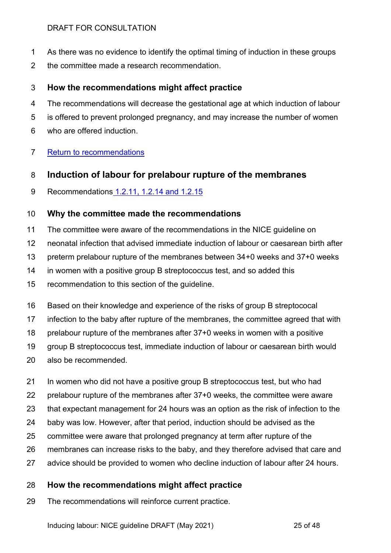- As there was no evidence to identify the optimal timing of induction in these groups
- the committee made a research recommendation.

## **How the recommendations might affect practice**

- The recommendations will decrease the gestational age at which induction of labour
- is offered to prevent prolonged pregnancy, and may increase the number of women
- who are offered induction.
- [Return to recommendations](#page-5-0)

## <span id="page-24-0"></span>**Induction of labour for prelabour rupture of the membranes**

Recommendations [1.2.11, 1.2.14 and 1.2.15](#page-6-0)

## **Why the committee made the recommendations**

- The committee were aware of the recommendations in the NICE guideline on
- neonatal infection that advised immediate induction of labour or caesarean birth after
- preterm prelabour rupture of the membranes between 34+0 weeks and 37+0 weeks
- in women with a positive group B streptococcus test, and so added this
- recommendation to this section of the guideline.
- Based on their knowledge and experience of the risks of group B streptococal
- infection to the baby after rupture of the membranes, the committee agreed that with
- prelabour rupture of the membranes after 37+0 weeks in women with a positive
- group B streptococcus test, immediate induction of labour or caesarean birth would
- also be recommended.
- In women who did not have a positive group B streptococcus test, but who had
- prelabour rupture of the membranes after 37+0 weeks, the committee were aware
- that expectant management for 24 hours was an option as the risk of infection to the
- baby was low. However, after that period, induction should be advised as the
- committee were aware that prolonged pregnancy at term after rupture of the
- membranes can increase risks to the baby, and they therefore advised that care and
- advice should be provided to women who decline induction of labour after 24 hours.

## **How the recommendations might affect practice**

The recommendations will reinforce current practice.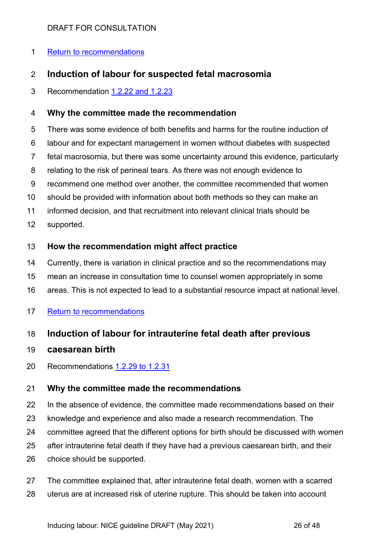## [Return to recommendations](#page-6-0)

## **Induction of labour for suspected fetal macrosomia**

Recommendation [1.2.22 and 1.2.23](#page-9-0)

## **Why the committee made the recommendation**

There was some evidence of both benefits and harms for the routine induction of

- labour and for expectant management in women without diabetes with suspected
- fetal macrosomia, but there was some uncertainty around this evidence, particularly
- relating to the risk of perineal tears. As there was not enough evidence to
- recommend one method over another, the committee recommended that women
- should be provided with information about both methods so they can make an
- informed decision, and that recruitment into relevant clinical trials should be
- supported.

## **How the recommendation might affect practice**

- Currently, there is variation in clinical practice and so the recommendations may
- mean an increase in consultation time to counsel women appropriately in some
- areas. This is not expected to lead to a substantial resource impact at national level.

## [Return to recommendations](#page-9-0)

## <span id="page-25-0"></span>**Induction of labour for intrauterine fetal death after previous**

## **caesarean birth**

Recommendations 1.2.29 [to 1.2.31](#page-11-0)

## **Why the committee made the recommendations**

- In the absence of evidence, the committee made recommendations based on their
- knowledge and experience and also made a research recommendation. The
- committee agreed that the different options for birth should be discussed with women
- after intrauterine fetal death if they have had a previous caesarean birth, and their
- choice should be supported.
- The committee explained that, after intrauterine fetal death, women with a scarred uterus are at increased risk of uterine rupture. This should be taken into account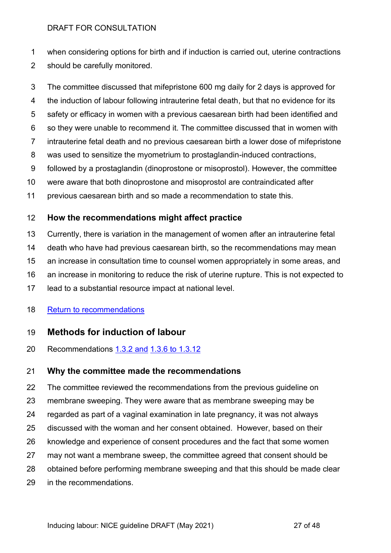when considering options for birth and if induction is carried out, uterine contractions should be carefully monitored.

The committee discussed that mifepristone 600 mg daily for 2 days is approved for

- the induction of labour following intrauterine fetal death, but that no evidence for its
- safety or efficacy in women with a previous caesarean birth had been identified and
- so they were unable to recommend it. The committee discussed that in women with
- intrauterine fetal death and no previous caesarean birth a lower dose of mifepristone
- was used to sensitize the myometrium to prostaglandin-induced contractions,
- followed by a prostaglandin (dinoprostone or misoprostol). However, the committee
- were aware that both dinoprostone and misoprostol are contraindicated after
- previous caesarean birth and so made a recommendation to state this.

## **How the recommendations might affect practice**

- Currently, there is variation in the management of women after an intrauterine fetal
- death who have had previous caesarean birth, so the recommendations may mean
- an increase in consultation time to counsel women appropriately in some areas, and
- an increase in monitoring to reduce the risk of uterine rupture. This is not expected to
- lead to a substantial resource impact at national level.

## [Return to recommendations](#page-11-0)

## <span id="page-26-0"></span>**Methods for induction of labour**

Recommendations [1.3.2 and](#page-12-1) [1.3.6 to 1.3.12](#page-12-0)

## **Why the committee made the recommendations**

 The committee reviewed the recommendations from the previous guideline on membrane sweeping. They were aware that as membrane sweeping may be regarded as part of a vaginal examination in late pregnancy, it was not always discussed with the woman and her consent obtained. However, based on their knowledge and experience of consent procedures and the fact that some women may not want a membrane sweep, the committee agreed that consent should be obtained before performing membrane sweeping and that this should be made clear in the recommendations.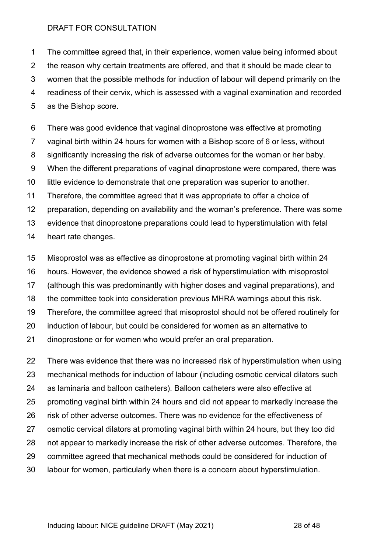The committee agreed that, in their experience, women value being informed about the reason why certain treatments are offered, and that it should be made clear to women that the possible methods for induction of labour will depend primarily on the readiness of their cervix, which is assessed with a vaginal examination and recorded as the Bishop score.

 There was good evidence that vaginal dinoprostone was effective at promoting vaginal birth within 24 hours for women with a Bishop score of 6 or less, without significantly increasing the risk of adverse outcomes for the woman or her baby. When the different preparations of vaginal dinoprostone were compared, there was little evidence to demonstrate that one preparation was superior to another. Therefore, the committee agreed that it was appropriate to offer a choice of preparation, depending on availability and the woman's preference. There was some evidence that dinoprostone preparations could lead to hyperstimulation with fetal heart rate changes.

- Misoprostol was as effective as dinoprostone at promoting vaginal birth within 24
- hours. However, the evidence showed a risk of hyperstimulation with misoprostol
- (although this was predominantly with higher doses and vaginal preparations), and
- the committee took into consideration previous MHRA warnings about this risk.
- Therefore, the committee agreed that misoprostol should not be offered routinely for
- induction of labour, but could be considered for women as an alternative to
- dinoprostone or for women who would prefer an oral preparation.

 There was evidence that there was no increased risk of hyperstimulation when using mechanical methods for induction of labour (including osmotic cervical dilators such as laminaria and balloon catheters). Balloon catheters were also effective at promoting vaginal birth within 24 hours and did not appear to markedly increase the risk of other adverse outcomes. There was no evidence for the effectiveness of osmotic cervical dilators at promoting vaginal birth within 24 hours, but they too did not appear to markedly increase the risk of other adverse outcomes. Therefore, the

- committee agreed that mechanical methods could be considered for induction of
- labour for women, particularly when there is a concern about hyperstimulation.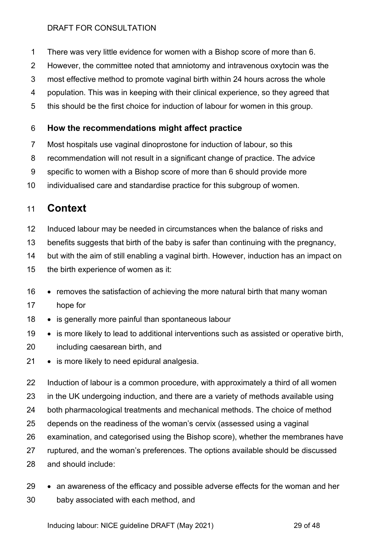- There was very little evidence for women with a Bishop score of more than 6.
- However, the committee noted that amniotomy and intravenous oxytocin was the
- most effective method to promote vaginal birth within 24 hours across the whole
- population. This was in keeping with their clinical experience, so they agreed that
- this should be the first choice for induction of labour for women in this group.

## **How the recommendations might affect practice**

- Most hospitals use vaginal dinoprostone for induction of labour, so this
- recommendation will not result in a significant change of practice. The advice
- specific to women with a Bishop score of more than 6 should provide more
- individualised care and standardise practice for this subgroup of women.

# **Context**

- Induced labour may be needed in circumstances when the balance of risks and
- benefits suggests that birth of the baby is safer than continuing with the pregnancy,
- but with the aim of still enabling a vaginal birth. However, induction has an impact on
- the birth experience of women as it:
- removes the satisfaction of achieving the more natural birth that many woman

## hope for

- is generally more painful than spontaneous labour
- is more likely to lead to additional interventions such as assisted or operative birth, including caesarean birth, and
- is more likely to need epidural analgesia.
- Induction of labour is a common procedure, with approximately a third of all women in the UK undergoing induction, and there are a variety of methods available using both pharmacological treatments and mechanical methods. The choice of method depends on the readiness of the woman's cervix (assessed using a vaginal examination, and categorised using the Bishop score), whether the membranes have ruptured, and the woman's preferences. The options available should be discussed
- and should include:
- an awareness of the efficacy and possible adverse effects for the woman and her baby associated with each method, and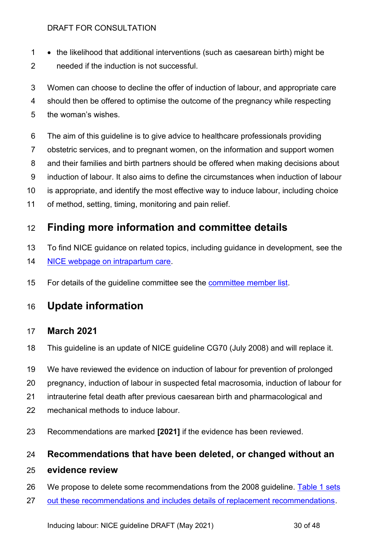- the likelihood that additional interventions (such as caesarean birth) might be
- needed if the induction is not successful.
- Women can choose to decline the offer of induction of labour, and appropriate care
- should then be offered to optimise the outcome of the pregnancy while respecting
- the woman's wishes.
- The aim of this guideline is to give advice to healthcare professionals providing
- obstetric services, and to pregnant women, on the information and support women
- and their families and birth partners should be offered when making decisions about
- induction of labour. It also aims to define the circumstances when induction of labour
- is appropriate, and identify the most effective way to induce labour, including choice
- of method, setting, timing, monitoring and pain relief.

# **Finding more information and committee details**

- To find NICE guidance on related topics, including guidance in development, see th[e](https://www.nice.org.uk/guidance/conditions-and-diseases/fertility--pregnancy-and-childbirth/intrapartum-care)
- [NICE webpage on intrapartum care.](https://www.nice.org.uk/guidance/conditions-and-diseases/fertility--pregnancy-and-childbirth/intrapartum-care)
- 15 For details of the guideline committee see the [committee member list.](https://www.nice.org.uk/guidance/indevelopment/gid-ng10082)

# <span id="page-29-0"></span>**Update information**

# **March 2021**

- This guideline is an update of NICE guideline CG70 (July 2008) and will replace it.
- We have reviewed the evidence on induction of labour for prevention of prolonged
- pregnancy, induction of labour in suspected fetal macrosomia, induction of labour for
- intrauterine fetal death after previous caesarean birth and pharmacological and
- mechanical methods to induce labour.
- Recommendations are marked **[2021]** if the evidence has been reviewed.

# **Recommendations that have been deleted, or changed without an**

## **evidence review**

- 26 We propose to delete some recommendations from the 2008 guideline. Table 1 sets
- [out these recommendations and includes details of replacement recommendations.](#page-30-0)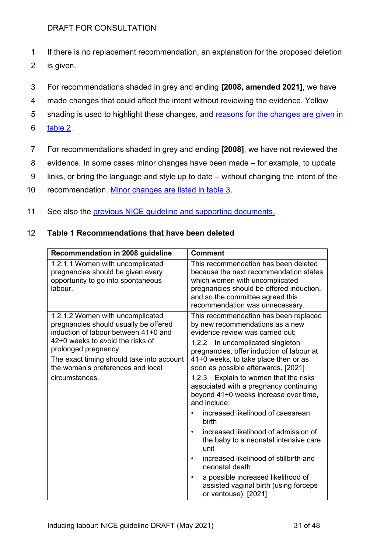- 1 If there is no replacement recommendation, an explanation for the proposed deletion
- 2 is given.
- 3 For recommendations shaded in grey and ending **[2008, amended 2021]**, we have
- 4 made changes that could affect the intent without reviewing the evidence. Yellow
- 5 shading is used to highlight these changes, and reasons for the changes are given in
- 6 [table 2.](#page-34-0)
- 7 For recommendations shaded in grey and ending **[2008]**, we have not reviewed the
- 8 evidence. In some cases minor changes have been made for example, to update
- 9 links, or bring the language and style up to date without changing the intent of the
- 10 recommendation. [Minor changes are listed in table 3.](#page-47-0)
- 11 See also the [previous NICE guideline and supporting documents.](https://www.nice.org.uk/guidance/cg70)

#### 12 **Table 1 Recommendations that have been deleted**

<span id="page-30-0"></span>

| Recommendation in 2008 guideline                                                                                                                                                                                                                                                  | <b>Comment</b>                                                                                                                                                                                                                                                                                                                                                                                                                                                                                                                                                                                                                                                                                                                                     |
|-----------------------------------------------------------------------------------------------------------------------------------------------------------------------------------------------------------------------------------------------------------------------------------|----------------------------------------------------------------------------------------------------------------------------------------------------------------------------------------------------------------------------------------------------------------------------------------------------------------------------------------------------------------------------------------------------------------------------------------------------------------------------------------------------------------------------------------------------------------------------------------------------------------------------------------------------------------------------------------------------------------------------------------------------|
| 1.2.1.1 Women with uncomplicated<br>pregnancies should be given every<br>opportunity to go into spontaneous<br>labour.                                                                                                                                                            | This recommendation has been deleted<br>because the next recommendation states<br>which women with uncomplicated<br>pregnancies should be offered induction,<br>and so the committee agreed this<br>recommendation was unnecessary.                                                                                                                                                                                                                                                                                                                                                                                                                                                                                                                |
| 1.2.1.2 Women with uncomplicated<br>pregnancies should usually be offered<br>induction of labour between 41+0 and<br>42+0 weeks to avoid the risks of<br>prolonged pregnancy.<br>The exact timing should take into account<br>the woman's preferences and local<br>circumstances. | This recommendation has been replaced<br>by new recommendations as a new<br>evidence review was carried out:<br>In uncomplicated singleton<br>1.2.2<br>pregnancies, offer induction of labour at<br>41+0 weeks, to take place then or as<br>soon as possible afterwards. [2021]<br>1.2.3 Explain to women that the risks<br>associated with a pregnancy continuing<br>beyond 41+0 weeks increase over time,<br>and include:<br>increased likelihood of caesarean<br>birth<br>increased likelihood of admission of<br>$\bullet$<br>the baby to a neonatal intensive care<br>unit<br>increased likelihood of stillbirth and<br>neonatal death<br>a possible increased likelihood of<br>assisted vaginal birth (using forceps<br>or ventouse). [2021] |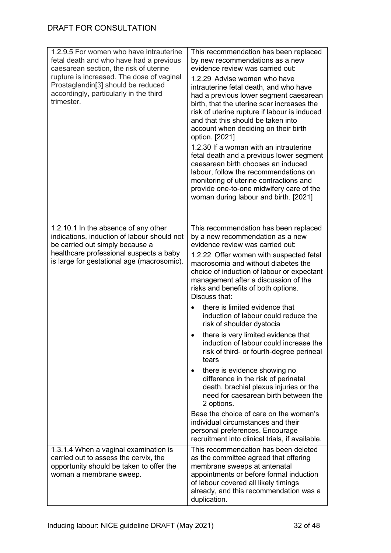| 1.2.9.5 For women who have intrauterine<br>fetal death and who have had a previous<br>caesarean section, the risk of uterine<br>rupture is increased. The dose of vaginal<br>Prostaglandin[3] should be reduced<br>accordingly, particularly in the third<br>trimester. | This recommendation has been replaced<br>by new recommendations as a new<br>evidence review was carried out:<br>1.2.29 Advise women who have<br>intrauterine fetal death, and who have<br>had a previous lower segment caesarean<br>birth, that the uterine scar increases the<br>risk of uterine rupture if labour is induced<br>and that this should be taken into<br>account when deciding on their birth<br>option. [2021]<br>1.2.30 If a woman with an intrauterine<br>fetal death and a previous lower segment<br>caesarean birth chooses an induced<br>labour, follow the recommendations on<br>monitoring of uterine contractions and<br>provide one-to-one midwifery care of the<br>woman during labour and birth. [2021]                                                                                                                                                                                                      |
|-------------------------------------------------------------------------------------------------------------------------------------------------------------------------------------------------------------------------------------------------------------------------|-----------------------------------------------------------------------------------------------------------------------------------------------------------------------------------------------------------------------------------------------------------------------------------------------------------------------------------------------------------------------------------------------------------------------------------------------------------------------------------------------------------------------------------------------------------------------------------------------------------------------------------------------------------------------------------------------------------------------------------------------------------------------------------------------------------------------------------------------------------------------------------------------------------------------------------------|
| 1.2.10.1 In the absence of any other<br>indications, induction of labour should not<br>be carried out simply because a<br>healthcare professional suspects a baby<br>is large for gestational age (macrosomic).                                                         | This recommendation has been replaced<br>by a new recommendation as a new<br>evidence review was carried out:<br>1.2.22 Offer women with suspected fetal<br>macrosomia and without diabetes the<br>choice of induction of labour or expectant<br>management after a discussion of the<br>risks and benefits of both options.<br>Discuss that:<br>there is limited evidence that<br>induction of labour could reduce the<br>risk of shoulder dystocia<br>there is very limited evidence that<br>induction of labour could increase the<br>risk of third- or fourth-degree perineal<br>tears<br>there is evidence showing no<br>difference in the risk of perinatal<br>death, brachial plexus injuries or the<br>need for caesarean birth between the<br>2 options.<br>Base the choice of care on the woman's<br>individual circumstances and their<br>personal preferences. Encourage<br>recruitment into clinical trials, if available. |
| 1.3.1.4 When a vaginal examination is<br>carried out to assess the cervix, the<br>opportunity should be taken to offer the<br>woman a membrane sweep.                                                                                                                   | This recommendation has been deleted<br>as the committee agreed that offering<br>membrane sweeps at antenatal<br>appointments or before formal induction<br>of labour covered all likely timings<br>already, and this recommendation was a<br>duplication.                                                                                                                                                                                                                                                                                                                                                                                                                                                                                                                                                                                                                                                                              |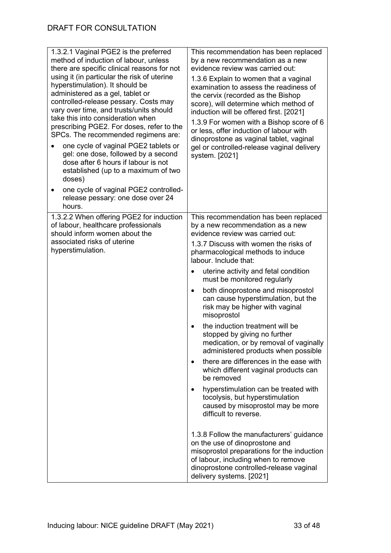| 1.3.2.1 Vaginal PGE2 is the preferred<br>method of induction of labour, unless<br>there are specific clinical reasons for not<br>using it (in particular the risk of uterine<br>hyperstimulation). It should be<br>administered as a gel, tablet or<br>controlled-release pessary. Costs may<br>vary over time, and trusts/units should<br>take this into consideration when<br>prescribing PGE2. For doses, refer to the<br>SPCs. The recommended regimens are:<br>one cycle of vaginal PGE2 tablets or<br>gel: one dose, followed by a second<br>dose after 6 hours if labour is not<br>established (up to a maximum of two<br>doses)<br>one cycle of vaginal PGE2 controlled-<br>release pessary: one dose over 24<br>hours. | This recommendation has been replaced<br>by a new recommendation as a new<br>evidence review was carried out:<br>1.3.6 Explain to women that a vaginal<br>examination to assess the readiness of<br>the cervix (recorded as the Bishop<br>score), will determine which method of<br>induction will be offered first. [2021]<br>1.3.9 For women with a Bishop score of 6<br>or less, offer induction of labour with<br>dinoprostone as vaginal tablet, vaginal<br>gel or controlled-release vaginal delivery<br>system. [2021]                                                                                                                                                                                                                                                                                                                                                                                                                                                                                                                                                                           |
|---------------------------------------------------------------------------------------------------------------------------------------------------------------------------------------------------------------------------------------------------------------------------------------------------------------------------------------------------------------------------------------------------------------------------------------------------------------------------------------------------------------------------------------------------------------------------------------------------------------------------------------------------------------------------------------------------------------------------------|---------------------------------------------------------------------------------------------------------------------------------------------------------------------------------------------------------------------------------------------------------------------------------------------------------------------------------------------------------------------------------------------------------------------------------------------------------------------------------------------------------------------------------------------------------------------------------------------------------------------------------------------------------------------------------------------------------------------------------------------------------------------------------------------------------------------------------------------------------------------------------------------------------------------------------------------------------------------------------------------------------------------------------------------------------------------------------------------------------|
| 1.3.2.2 When offering PGE2 for induction<br>of labour, healthcare professionals<br>should inform women about the<br>associated risks of uterine<br>hyperstimulation.                                                                                                                                                                                                                                                                                                                                                                                                                                                                                                                                                            | This recommendation has been replaced<br>by a new recommendation as a new<br>evidence review was carried out:<br>1.3.7 Discuss with women the risks of<br>pharmacological methods to induce<br>labour. Include that:<br>uterine activity and fetal condition<br>$\bullet$<br>must be monitored regularly<br>both dinoprostone and misoprostol<br>$\bullet$<br>can cause hyperstimulation, but the<br>risk may be higher with vaginal<br>misoprostol<br>the induction treatment will be<br>stopped by giving no further<br>medication, or by removal of vaginally<br>administered products when possible<br>there are differences in the ease with<br>which different vaginal products can<br>be removed<br>hyperstimulation can be treated with<br>$\bullet$<br>tocolysis, but hyperstimulation<br>caused by misoprostol may be more<br>difficult to reverse.<br>1.3.8 Follow the manufacturers' guidance<br>on the use of dinoprostone and<br>misoprostol preparations for the induction<br>of labour, including when to remove<br>dinoprostone controlled-release vaginal<br>delivery systems. [2021] |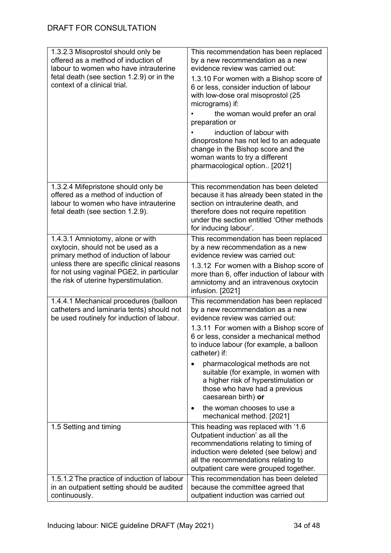| 1.3.2.3 Misoprostol should only be<br>offered as a method of induction of<br>labour to women who have intrauterine<br>fetal death (see section 1.2.9) or in the | This recommendation has been replaced<br>by a new recommendation as a new<br>evidence review was carried out:                                                                                                                               |  |
|-----------------------------------------------------------------------------------------------------------------------------------------------------------------|---------------------------------------------------------------------------------------------------------------------------------------------------------------------------------------------------------------------------------------------|--|
| context of a clinical trial.                                                                                                                                    | 1.3.10 For women with a Bishop score of<br>6 or less, consider induction of labour<br>with low-dose oral misoprostol (25<br>micrograms) if:                                                                                                 |  |
|                                                                                                                                                                 | the woman would prefer an oral<br>preparation or                                                                                                                                                                                            |  |
|                                                                                                                                                                 | induction of labour with<br>dinoprostone has not led to an adequate<br>change in the Bishop score and the<br>woman wants to try a different<br>pharmacological option [2021]                                                                |  |
| 1.3.2.4 Mifepristone should only be<br>offered as a method of induction of<br>labour to women who have intrauterine<br>fetal death (see section 1.2.9).         | This recommendation has been deleted<br>because it has already been stated in the<br>section on intrauterine death, and<br>therefore does not require repetition<br>under the section entitled 'Other methods<br>for inducing labour'.      |  |
| 1.4.3.1 Amniotomy, alone or with<br>oxytocin, should not be used as a<br>primary method of induction of labour                                                  | This recommendation has been replaced<br>by a new recommendation as a new<br>evidence review was carried out:                                                                                                                               |  |
| unless there are specific clinical reasons<br>for not using vaginal PGE2, in particular<br>the risk of uterine hyperstimulation.                                | 1.3.12 For women with a Bishop score of<br>more than 6, offer induction of labour with<br>amniotomy and an intravenous oxytocin<br>infusion. [2021]                                                                                         |  |
| 1.4.4.1 Mechanical procedures (balloon<br>catheters and laminaria tents) should not<br>be used routinely for induction of labour.                               | This recommendation has been replaced<br>by a new recommendation as a new<br>evidence review was carried out:                                                                                                                               |  |
|                                                                                                                                                                 | 1.3.11 For women with a Bishop score of<br>6 or less, consider a mechanical method<br>to induce labour (for example, a balloon<br>catheter) if:                                                                                             |  |
|                                                                                                                                                                 | pharmacological methods are not<br>suitable (for example, in women with<br>a higher risk of hyperstimulation or<br>those who have had a previous<br>caesarean birth) or                                                                     |  |
|                                                                                                                                                                 | the woman chooses to use a<br>mechanical method. [2021]                                                                                                                                                                                     |  |
| 1.5 Setting and timing                                                                                                                                          | This heading was replaced with '1.6<br>Outpatient induction' as all the<br>recommendations relating to timing of<br>induction were deleted (see below) and<br>all the recommendations relating to<br>outpatient care were grouped together. |  |
| 1.5.1.2 The practice of induction of labour<br>in an outpatient setting should be audited<br>continuously.                                                      | This recommendation has been deleted<br>because the committee agreed that<br>outpatient induction was carried out                                                                                                                           |  |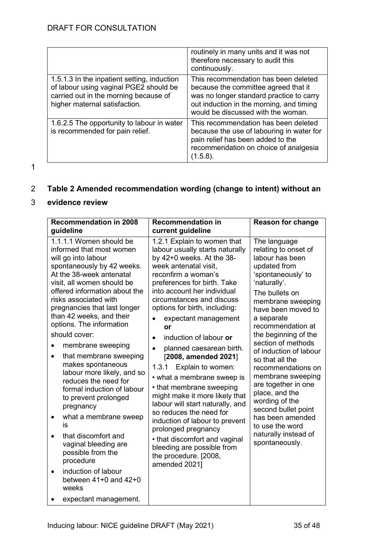|                                                                                                                                                                 | routinely in many units and it was not<br>therefore necessary to audit this<br>continuously.                                                                                                               |
|-----------------------------------------------------------------------------------------------------------------------------------------------------------------|------------------------------------------------------------------------------------------------------------------------------------------------------------------------------------------------------------|
| 1.5.1.3 In the inpatient setting, induction<br>of labour using vaginal PGE2 should be<br>carried out in the morning because of<br>higher maternal satisfaction. | This recommendation has been deleted<br>because the committee agreed that it<br>was no longer standard practice to carry<br>out induction in the morning, and timing<br>would be discussed with the woman. |
| 1.6.2.5 The opportunity to labour in water<br>is recommended for pain relief.                                                                                   | This recommendation has been deleted<br>because the use of labouring in water for<br>pain relief has been added to the<br>recommendation on choice of analgesia<br>(1.5.8).                                |

1

# <span id="page-34-0"></span>2 **Table 2 Amended recommendation wording (change to intent) without an**

#### 3 **evidence review**

| <b>Recommendation in 2008</b>                                                                                                                                                                                                                                                                                                                                                                                                                                                                                                                                                                                                                                                                                                                                                        | <b>Recommendation in</b>                                                                                                                                                                                                                                                                                                                                                                                                                                                                                                                                                                                                                                                                                                                           | <b>Reason for change</b>                                                                                                                                                                                                                                                                                                                                                                                                                                                                                               |
|--------------------------------------------------------------------------------------------------------------------------------------------------------------------------------------------------------------------------------------------------------------------------------------------------------------------------------------------------------------------------------------------------------------------------------------------------------------------------------------------------------------------------------------------------------------------------------------------------------------------------------------------------------------------------------------------------------------------------------------------------------------------------------------|----------------------------------------------------------------------------------------------------------------------------------------------------------------------------------------------------------------------------------------------------------------------------------------------------------------------------------------------------------------------------------------------------------------------------------------------------------------------------------------------------------------------------------------------------------------------------------------------------------------------------------------------------------------------------------------------------------------------------------------------------|------------------------------------------------------------------------------------------------------------------------------------------------------------------------------------------------------------------------------------------------------------------------------------------------------------------------------------------------------------------------------------------------------------------------------------------------------------------------------------------------------------------------|
| guideline                                                                                                                                                                                                                                                                                                                                                                                                                                                                                                                                                                                                                                                                                                                                                                            | current guideline                                                                                                                                                                                                                                                                                                                                                                                                                                                                                                                                                                                                                                                                                                                                  |                                                                                                                                                                                                                                                                                                                                                                                                                                                                                                                        |
| 1.1.1.1 Women should be<br>informed that most women<br>will go into labour<br>spontaneously by 42 weeks.<br>At the 38-week antenatal<br>visit, all women should be<br>offered information about the<br>risks associated with<br>pregnancies that last longer<br>than 42 weeks, and their<br>options. The information<br>should cover:<br>membrane sweeping<br>that membrane sweeping<br>$\bullet$<br>makes spontaneous<br>labour more likely, and so<br>reduces the need for<br>formal induction of labour<br>to prevent prolonged<br>pregnancy<br>what a membrane sweep<br>٠<br>is<br>that discomfort and<br>$\bullet$<br>vaginal bleeding are<br>possible from the<br>procedure<br>induction of labour<br>$\bullet$<br>between $41+0$ and $42+0$<br>weeks<br>expectant management. | 1.2.1 Explain to women that<br>labour usually starts naturally<br>by $42+0$ weeks. At the $38-$<br>week antenatal visit,<br>reconfirm a woman's<br>preferences for birth. Take<br>into account her individual<br>circumstances and discuss<br>options for birth, including:<br>expectant management<br>or<br>induction of labour or<br>planned caesarean birth.<br>[2008, amended 2021]<br>1.3.1<br>Explain to women:<br>• what a membrane sweep is<br>• that membrane sweeping<br>might make it more likely that<br>labour will start naturally, and<br>so reduces the need for<br>induction of labour to prevent<br>prolonged pregnancy<br>• that discomfort and vaginal<br>bleeding are possible from<br>the procedure. [2008,<br>amended 2021] | The language<br>relating to onset of<br>labour has been<br>updated from<br>'spontaneously' to<br>'naturally'.<br>The bullets on<br>membrane sweeping<br>have been moved to<br>a separate<br>recommendation at<br>the beginning of the<br>section of methods<br>of induction of labour<br>so that all the<br>recommendations on<br>membrane sweeping<br>are together in one<br>place, and the<br>wording of the<br>second bullet point<br>has been amended<br>to use the word<br>naturally instead of<br>spontaneously. |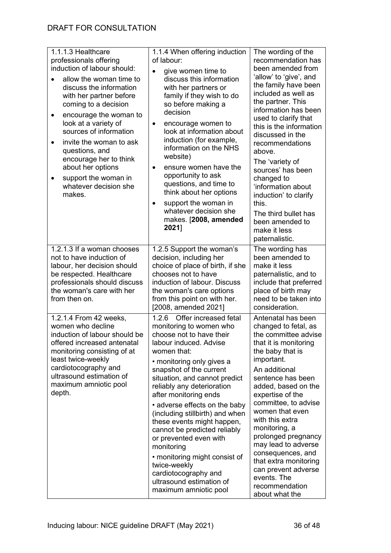| 1.1.1.3 Healthcare<br>professionals offering<br>induction of labour should:<br>allow the woman time to<br>discuss the information<br>with her partner before<br>coming to a decision<br>encourage the woman to<br>look at a variety of<br>sources of information<br>invite the woman to ask<br>$\bullet$<br>questions, and<br>encourage her to think<br>about her options<br>support the woman in<br>whatever decision she<br>makes. | 1.1.4 When offering induction<br>of labour:<br>give women time to<br>$\bullet$<br>discuss this information<br>with her partners or<br>family if they wish to do<br>so before making a<br>decision<br>encourage women to<br>$\bullet$<br>look at information about<br>induction (for example,<br>information on the NHS<br>website)<br>ensure women have the<br>opportunity to ask<br>questions, and time to<br>think about her options<br>support the woman in<br>$\bullet$<br>whatever decision she<br>makes. [2008, amended<br>2021]                                                 | The wording of the<br>recommendation has<br>been amended from<br>'allow' to 'give', and<br>the family have been<br>included as well as<br>the partner. This<br>information has been<br>used to clarify that<br>this is the information<br>discussed in the<br>recommendations<br>above.<br>The 'variety of<br>sources' has been<br>changed to<br>'information about<br>induction' to clarify<br>this.<br>The third bullet has<br>been amended to<br>make it less<br>paternalistic. |
|--------------------------------------------------------------------------------------------------------------------------------------------------------------------------------------------------------------------------------------------------------------------------------------------------------------------------------------------------------------------------------------------------------------------------------------|----------------------------------------------------------------------------------------------------------------------------------------------------------------------------------------------------------------------------------------------------------------------------------------------------------------------------------------------------------------------------------------------------------------------------------------------------------------------------------------------------------------------------------------------------------------------------------------|------------------------------------------------------------------------------------------------------------------------------------------------------------------------------------------------------------------------------------------------------------------------------------------------------------------------------------------------------------------------------------------------------------------------------------------------------------------------------------|
| 1.2.1.3 If a woman chooses                                                                                                                                                                                                                                                                                                                                                                                                           | 1.2.5 Support the woman's                                                                                                                                                                                                                                                                                                                                                                                                                                                                                                                                                              | The wording has                                                                                                                                                                                                                                                                                                                                                                                                                                                                    |
| not to have induction of<br>labour, her decision should<br>be respected. Healthcare<br>professionals should discuss<br>the woman's care with her<br>from then on.                                                                                                                                                                                                                                                                    | decision, including her<br>choice of place of birth, if she<br>chooses not to have<br>induction of labour. Discuss<br>the woman's care options<br>from this point on with her.<br>[2008, amended 2021]                                                                                                                                                                                                                                                                                                                                                                                 | been amended to<br>make it less<br>paternalistic, and to<br>include that preferred<br>place of birth may<br>need to be taken into<br>consideration.                                                                                                                                                                                                                                                                                                                                |
| 1.2.1.4 From 42 weeks,<br>women who decline<br>induction of labour should be<br>offered increased antenatal<br>monitoring consisting of at<br>least twice-weekly<br>cardiotocography and<br>ultrasound estimation of<br>maximum amniotic pool<br>depth.                                                                                                                                                                              | Offer increased fetal<br>1.2.6<br>monitoring to women who<br>choose not to have their<br>labour induced. Advise<br>women that:<br>• monitoring only gives a<br>snapshot of the current<br>situation, and cannot predict<br>reliably any deterioration<br>after monitoring ends<br>• adverse effects on the baby<br>(including stillbirth) and when<br>these events might happen,<br>cannot be predicted reliably<br>or prevented even with<br>monitoring<br>• monitoring might consist of<br>twice-weekly<br>cardiotocography and<br>ultrasound estimation of<br>maximum amniotic pool | Antenatal has been<br>changed to fetal, as<br>the committee advise<br>that it is monitoring<br>the baby that is<br>important.<br>An additional<br>sentence has been<br>added, based on the<br>expertise of the<br>committee, to advise<br>women that even<br>with this extra<br>monitoring, a<br>prolonged pregnancy<br>may lead to adverse<br>consequences, and<br>that extra monitoring<br>can prevent adverse<br>events. The<br>recommendation<br>about what the                |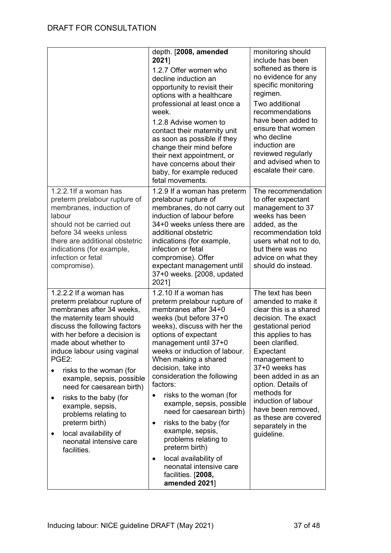|                                                                                                                                                                                                                                                                                                                                                                                                                                                                                                               | depth. [2008, amended<br>2021]<br>1.2.7 Offer women who<br>decline induction an<br>opportunity to revisit their<br>options with a healthcare<br>professional at least once a<br>week.<br>1.2.8 Advise women to<br>contact their maternity unit<br>as soon as possible if they<br>change their mind before<br>their next appointment, or<br>have concerns about their<br>baby, for example reduced<br>fetal movements.                                                                                                                                                                                                              | monitoring should<br>include has been<br>softened as there is<br>no evidence for any<br>specific monitoring<br>regimen.<br>Two additional<br>recommendations<br>have been added to<br>ensure that women<br>who decline<br>induction are<br>reviewed regularly<br>and advised when to<br>escalate their care.                                                                 |
|---------------------------------------------------------------------------------------------------------------------------------------------------------------------------------------------------------------------------------------------------------------------------------------------------------------------------------------------------------------------------------------------------------------------------------------------------------------------------------------------------------------|------------------------------------------------------------------------------------------------------------------------------------------------------------------------------------------------------------------------------------------------------------------------------------------------------------------------------------------------------------------------------------------------------------------------------------------------------------------------------------------------------------------------------------------------------------------------------------------------------------------------------------|------------------------------------------------------------------------------------------------------------------------------------------------------------------------------------------------------------------------------------------------------------------------------------------------------------------------------------------------------------------------------|
| 1.2.2.1If a woman has<br>preterm prelabour rupture of<br>membranes, induction of<br>labour<br>should not be carried out<br>before 34 weeks unless<br>there are additional obstetric<br>indications (for example,<br>infection or fetal<br>compromise).                                                                                                                                                                                                                                                        | 1.2.9 If a woman has preterm<br>prelabour rupture of<br>membranes, do not carry out<br>induction of labour before<br>34+0 weeks unless there are<br>additional obstetric<br>indications (for example,<br>infection or fetal<br>compromise). Offer<br>expectant management until<br>37+0 weeks. [2008, updated<br>2021]                                                                                                                                                                                                                                                                                                             | The recommendation<br>to offer expectant<br>management to 37<br>weeks has been<br>added, as the<br>recommendation told<br>users what not to do,<br>but there was no<br>advice on what they<br>should do instead.                                                                                                                                                             |
| 1.2.2.2 If a woman has<br>preterm prelabour rupture of<br>membranes after 34 weeks,<br>the maternity team should<br>discuss the following factors<br>with her before a decision is<br>made about whether to<br>induce labour using vaginal<br>PGE2:<br>risks to the woman (for<br>example, sepsis, possible<br>need for caesarean birth)<br>risks to the baby (for<br>٠<br>example, sepsis,<br>problems relating to<br>preterm birth)<br>local availability of<br>٠<br>neonatal intensive care<br>facilities. | 1.2.10 If a woman has<br>preterm prelabour rupture of<br>membranes after 34+0<br>weeks (but before 37+0<br>weeks), discuss with her the<br>options of expectant<br>management until 37+0<br>weeks or induction of labour.<br>When making a shared<br>decision, take into<br>consideration the following<br>factors:<br>risks to the woman (for<br>$\bullet$<br>example, sepsis, possible<br>need for caesarean birth)<br>risks to the baby (for<br>$\bullet$<br>example, sepsis,<br>problems relating to<br>preterm birth)<br>local availability of<br>$\bullet$<br>neonatal intensive care<br>facilities. [2008,<br>amended 2021] | The text has been<br>amended to make it<br>clear this is a shared<br>decision. The exact<br>gestational period<br>this applies to has<br>been clarified.<br>Expectant<br>management to<br>37+0 weeks has<br>been added in as an<br>option. Details of<br>methods for<br>induction of labour<br>have been removed,<br>as these are covered<br>separately in the<br>guideline. |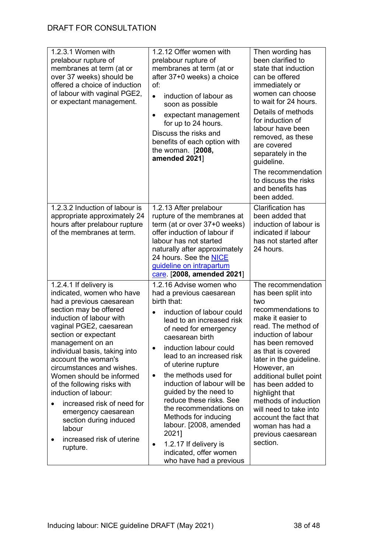| 1.2.3.1 Women with<br>prelabour rupture of<br>membranes at term (at or<br>over 37 weeks) should be<br>offered a choice of induction<br>of labour with vaginal PGE2,<br>or expectant management.                                                                                                                                                                                                                                                                                                                                     | 1.2.12 Offer women with<br>prelabour rupture of<br>membranes at term (at or<br>after 37+0 weeks) a choice<br>of:<br>induction of labour as<br>$\bullet$<br>soon as possible<br>expectant management<br>$\bullet$<br>for up to 24 hours.<br>Discuss the risks and<br>benefits of each option with<br>the woman. $[2008,$<br>amended 2021]                                                                                                                                                                                                                                                | Then wording has<br>been clarified to<br>state that induction<br>can be offered<br>immediately or<br>women can choose<br>to wait for 24 hours.<br>Details of methods<br>for induction of<br>labour have been<br>removed, as these<br>are covered<br>separately in the<br>guideline.<br>The recommendation<br>to discuss the risks<br>and benefits has<br>been added.                                                            |
|-------------------------------------------------------------------------------------------------------------------------------------------------------------------------------------------------------------------------------------------------------------------------------------------------------------------------------------------------------------------------------------------------------------------------------------------------------------------------------------------------------------------------------------|-----------------------------------------------------------------------------------------------------------------------------------------------------------------------------------------------------------------------------------------------------------------------------------------------------------------------------------------------------------------------------------------------------------------------------------------------------------------------------------------------------------------------------------------------------------------------------------------|---------------------------------------------------------------------------------------------------------------------------------------------------------------------------------------------------------------------------------------------------------------------------------------------------------------------------------------------------------------------------------------------------------------------------------|
| 1.2.3.2 Induction of labour is<br>appropriate approximately 24<br>hours after prelabour rupture<br>of the membranes at term.                                                                                                                                                                                                                                                                                                                                                                                                        | 1.2.13 After prelabour<br>rupture of the membranes at<br>term (at or over 37+0 weeks)<br>offer induction of labour if<br>labour has not started<br>naturally after approximately<br>24 hours. See the NICE<br>guideline on intrapartum<br>care [2008, amended 2021]                                                                                                                                                                                                                                                                                                                     | <b>Clarification has</b><br>been added that<br>induction of labour is<br>indicated if labour<br>has not started after<br>24 hours.                                                                                                                                                                                                                                                                                              |
| 1.2.4.1 If delivery is<br>indicated, women who have<br>had a previous caesarean<br>section may be offered<br>induction of labour with<br>vaginal PGE2, caesarean<br>section or expectant<br>management on an<br>individual basis, taking into<br>account the woman's<br>circumstances and wishes.<br>Women should be informed<br>of the following risks with<br>induction of labour:<br>increased risk of need for<br>$\bullet$<br>emergency caesarean<br>section during induced<br>labour<br>increased risk of uterine<br>rupture. | 1.2.16 Advise women who<br>had a previous caesarean<br>birth that:<br>induction of labour could<br>$\bullet$<br>lead to an increased risk<br>of need for emergency<br>caesarean birth<br>induction labour could<br>$\bullet$<br>lead to an increased risk<br>of uterine rupture<br>the methods used for<br>$\bullet$<br>induction of labour will be<br>guided by the need to<br>reduce these risks. See<br>the recommendations on<br>Methods for inducing<br>labour. [2008, amended<br>2021]<br>1.2.17 If delivery is<br>$\bullet$<br>indicated, offer women<br>who have had a previous | The recommendation<br>has been split into<br>two<br>recommendations to<br>make it easier to<br>read. The method of<br>induction of labour<br>has been removed<br>as that is covered<br>later in the guideline.<br>However, an<br>additional bullet point<br>has been added to<br>highlight that<br>methods of induction<br>will need to take into<br>account the fact that<br>woman has had a<br>previous caesarean<br>section. |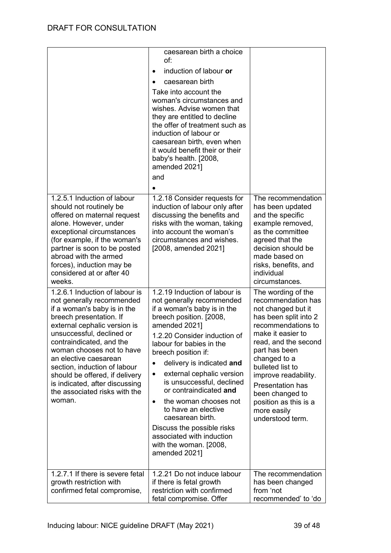|                                                                                                                                                                                                                                                                                                                                                                                                                     | caesarean birth a choice<br>of:<br>induction of labour or<br>caesarean birth<br>Take into account the<br>woman's circumstances and<br>wishes. Advise women that<br>they are entitled to decline<br>the offer of treatment such as<br>induction of labour or<br>caesarean birth, even when<br>it would benefit their or their<br>baby's health. [2008,<br>amended 2021]<br>and                                                                                                                                                                 |                                                                                                                                                                                                                                                                                                                                                   |
|---------------------------------------------------------------------------------------------------------------------------------------------------------------------------------------------------------------------------------------------------------------------------------------------------------------------------------------------------------------------------------------------------------------------|-----------------------------------------------------------------------------------------------------------------------------------------------------------------------------------------------------------------------------------------------------------------------------------------------------------------------------------------------------------------------------------------------------------------------------------------------------------------------------------------------------------------------------------------------|---------------------------------------------------------------------------------------------------------------------------------------------------------------------------------------------------------------------------------------------------------------------------------------------------------------------------------------------------|
| 1.2.5.1 Induction of labour<br>should not routinely be<br>offered on maternal request<br>alone. However, under<br>exceptional circumstances<br>(for example, if the woman's<br>partner is soon to be posted<br>abroad with the armed<br>forces), induction may be<br>considered at or after 40<br>weeks.                                                                                                            | 1.2.18 Consider requests for<br>induction of labour only after<br>discussing the benefits and<br>risks with the woman, taking<br>into account the woman's<br>circumstances and wishes.<br>[2008, amended 2021]                                                                                                                                                                                                                                                                                                                                | The recommendation<br>has been updated<br>and the specific<br>example removed,<br>as the committee<br>agreed that the<br>decision should be<br>made based on<br>risks, benefits, and<br>individual<br>circumstances.                                                                                                                              |
| 1.2.6.1 Induction of labour is<br>not generally recommended<br>if a woman's baby is in the<br>breech presentation. If<br>external cephalic version is<br>unsuccessful, declined or<br>contraindicated, and the<br>woman chooses not to have<br>an elective caesarean<br>section, induction of labour<br>should be offered, if delivery<br>is indicated, after discussing<br>the associated risks with the<br>woman. | 1.2.19 Induction of labour is<br>not generally recommended<br>if a woman's baby is in the<br>breech position. [2008,<br>amended 2021]<br>1.2.20 Consider induction of<br>labour for babies in the<br>breech position if:<br>delivery is indicated and<br>external cephalic version<br>$\bullet$<br>is unsuccessful, declined<br>or contraindicated and<br>the woman chooses not<br>$\bullet$<br>to have an elective<br>caesarean birth.<br>Discuss the possible risks<br>associated with induction<br>with the woman. [2008,<br>amended 2021] | The wording of the<br>recommendation has<br>not changed but it<br>has been split into 2<br>recommendations to<br>make it easier to<br>read, and the second<br>part has been<br>changed to a<br>bulleted list to<br>improve readability.<br><b>Presentation has</b><br>been changed to<br>position as this is a<br>more easily<br>understood term. |
| 1.2.7.1 If there is severe fetal<br>growth restriction with<br>confirmed fetal compromise,                                                                                                                                                                                                                                                                                                                          | 1.2.21 Do not induce labour<br>if there is fetal growth<br>restriction with confirmed<br>fetal compromise. Offer                                                                                                                                                                                                                                                                                                                                                                                                                              | The recommendation<br>has been changed<br>from 'not<br>recommended' to 'do                                                                                                                                                                                                                                                                        |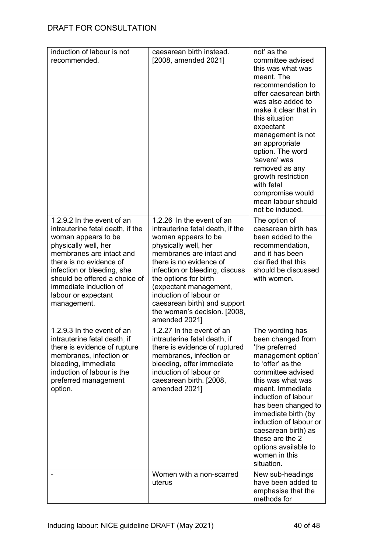| induction of labour is not                                                                                                                                                                                                                                                                          | caesarean birth instead.                                                                                                                                                                                                                                                                                                                                            | not' as the                                                                                                                                                                                                                                                                                                                                                                   |
|-----------------------------------------------------------------------------------------------------------------------------------------------------------------------------------------------------------------------------------------------------------------------------------------------------|---------------------------------------------------------------------------------------------------------------------------------------------------------------------------------------------------------------------------------------------------------------------------------------------------------------------------------------------------------------------|-------------------------------------------------------------------------------------------------------------------------------------------------------------------------------------------------------------------------------------------------------------------------------------------------------------------------------------------------------------------------------|
| recommended.                                                                                                                                                                                                                                                                                        | [2008, amended 2021]                                                                                                                                                                                                                                                                                                                                                | committee advised<br>this was what was<br>meant. The<br>recommendation to<br>offer caesarean birth<br>was also added to<br>make it clear that in<br>this situation<br>expectant<br>management is not<br>an appropriate<br>option. The word<br>'severe' was<br>removed as any<br>growth restriction<br>with fetal<br>compromise would<br>mean labour should<br>not be induced. |
| 1.2.9.2 In the event of an<br>intrauterine fetal death, if the<br>woman appears to be<br>physically well, her<br>membranes are intact and<br>there is no evidence of<br>infection or bleeding, she<br>should be offered a choice of<br>immediate induction of<br>labour or expectant<br>management. | 1.2.26 In the event of an<br>intrauterine fetal death, if the<br>woman appears to be<br>physically well, her<br>membranes are intact and<br>there is no evidence of<br>infection or bleeding, discuss<br>the options for birth<br>(expectant management,<br>induction of labour or<br>caesarean birth) and support<br>the woman's decision. [2008,<br>amended 2021] | The option of<br>caesarean birth has<br>been added to the<br>recommendation,<br>and it has been<br>clarified that this<br>should be discussed<br>with women.                                                                                                                                                                                                                  |
| 1.2.9.3 In the event of an<br>intrauterine fetal death, if<br>there is evidence of rupture<br>membranes, infection or<br>bleeding, immediate<br>induction of labour is the<br>preferred management<br>option.                                                                                       | 1.2.27 In the event of an<br>intrauterine fetal death, if<br>there is evidence of ruptured<br>membranes, infection or<br>bleeding, offer immediate<br>induction of labour or<br>caesarean birth. [2008,<br>amended 2021]                                                                                                                                            | The wording has<br>been changed from<br>'the preferred<br>management option'<br>to 'offer' as the<br>committee advised<br>this was what was<br>meant. Immediate<br>induction of labour<br>has been changed to<br>immediate birth (by<br>induction of labour or<br>caesarean birth) as<br>these are the 2<br>options available to<br>women in this<br>situation.               |
|                                                                                                                                                                                                                                                                                                     | Women with a non-scarred<br>uterus                                                                                                                                                                                                                                                                                                                                  | New sub-headings<br>have been added to<br>emphasise that the<br>methods for                                                                                                                                                                                                                                                                                                   |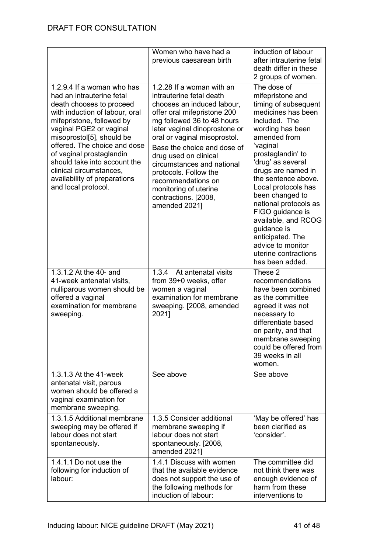|                                                                                                                                                                                                                                                                                                                                                                                          | Women who have had a<br>previous caesarean birth                                                                                                                                                                                                                                                                                                                                                                         | induction of labour<br>after intrauterine fetal<br>death differ in these<br>2 groups of women.                                                                                                                                                                                                                                                                                                                                                         |
|------------------------------------------------------------------------------------------------------------------------------------------------------------------------------------------------------------------------------------------------------------------------------------------------------------------------------------------------------------------------------------------|--------------------------------------------------------------------------------------------------------------------------------------------------------------------------------------------------------------------------------------------------------------------------------------------------------------------------------------------------------------------------------------------------------------------------|--------------------------------------------------------------------------------------------------------------------------------------------------------------------------------------------------------------------------------------------------------------------------------------------------------------------------------------------------------------------------------------------------------------------------------------------------------|
| 1.2.9.4 If a woman who has<br>had an intrauterine fetal<br>death chooses to proceed<br>with induction of labour, oral<br>mifepristone, followed by<br>vaginal PGE2 or vaginal<br>misoprostol[5], should be<br>offered. The choice and dose<br>of vaginal prostaglandin<br>should take into account the<br>clinical circumstances,<br>availability of preparations<br>and local protocol. | 1.2.28 If a woman with an<br>intrauterine fetal death<br>chooses an induced labour,<br>offer oral mifepristone 200<br>mg followed 36 to 48 hours<br>later vaginal dinoprostone or<br>oral or vaginal misoprostol.<br>Base the choice and dose of<br>drug used on clinical<br>circumstances and national<br>protocols. Follow the<br>recommendations on<br>monitoring of uterine<br>contractions. [2008,<br>amended 2021] | The dose of<br>mifepristone and<br>timing of subsequent<br>medicines has been<br>included. The<br>wording has been<br>amended from<br>'vaginal<br>prostaglandin' to<br>'drug' as several<br>drugs are named in<br>the sentence above.<br>Local protocols has<br>been changed to<br>national protocols as<br>FIGO guidance is<br>available, and RCOG<br>guidance is<br>anticipated. The<br>advice to monitor<br>uterine contractions<br>has been added. |
| 1.3.1.2 At the 40- and<br>41-week antenatal visits,<br>nulliparous women should be<br>offered a vaginal<br>examination for membrane<br>sweeping.                                                                                                                                                                                                                                         | 1.3.4 At antenatal visits<br>from 39+0 weeks, offer<br>women a vaginal<br>examination for membrane<br>sweeping. [2008, amended<br>2021]                                                                                                                                                                                                                                                                                  | These 2<br>recommendations<br>have been combined<br>as the committee<br>agreed it was not<br>necessary to<br>differentiate based<br>on parity, and that<br>membrane sweeping<br>could be offered from<br>39 weeks in all<br>women.                                                                                                                                                                                                                     |
| 1.3.1.3 At the 41-week<br>antenatal visit, parous<br>women should be offered a<br>vaginal examination for<br>membrane sweeping.                                                                                                                                                                                                                                                          | See above                                                                                                                                                                                                                                                                                                                                                                                                                | See above                                                                                                                                                                                                                                                                                                                                                                                                                                              |
| 1.3.1.5 Additional membrane<br>sweeping may be offered if<br>labour does not start<br>spontaneously.                                                                                                                                                                                                                                                                                     | 1.3.5 Consider additional<br>membrane sweeping if<br>labour does not start<br>spontaneously. [2008,<br>amended 2021]                                                                                                                                                                                                                                                                                                     | 'May be offered' has<br>been clarified as<br>'consider'.                                                                                                                                                                                                                                                                                                                                                                                               |
| 1.4.1.1 Do not use the<br>following for induction of<br>labour:                                                                                                                                                                                                                                                                                                                          | 1.4.1 Discuss with women<br>that the available evidence<br>does not support the use of<br>the following methods for<br>induction of labour:                                                                                                                                                                                                                                                                              | The committee did<br>not think there was<br>enough evidence of<br>harm from these<br>interventions to                                                                                                                                                                                                                                                                                                                                                  |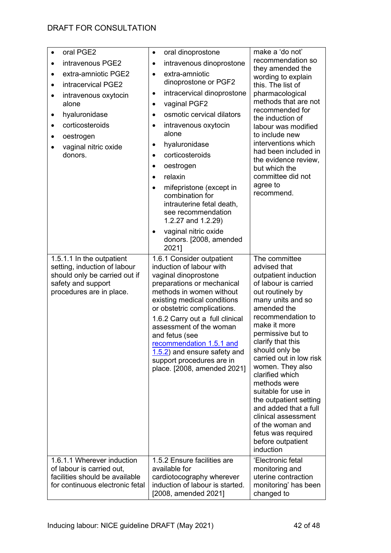| oral PGE2<br>$\bullet$<br>intravenous PGE2<br>extra-amniotic PGE2<br>intracervical PGE2<br>intravenous oxytocin<br>$\bullet$<br>alone<br>hyaluronidase<br>$\bullet$<br>corticosteroids<br>oestrogen<br>vaginal nitric oxide<br>donors. | oral dinoprostone<br>$\bullet$<br>intravenous dinoprostone<br>$\bullet$<br>extra-amniotic<br>$\bullet$<br>dinoprostone or PGF2<br>intracervical dinoprostone<br>$\bullet$<br>vaginal PGF2<br>$\bullet$<br>osmotic cervical dilators<br>$\bullet$<br>intravenous oxytocin<br>$\bullet$<br>alone<br>hyaluronidase<br>$\bullet$<br>corticosteroids<br>oestrogen<br>$\bullet$<br>relaxin<br>$\bullet$<br>mifepristone (except in<br>$\bullet$<br>combination for<br>intrauterine fetal death,<br>see recommendation<br>1.2.27 and 1.2.29)<br>vaginal nitric oxide<br>$\bullet$<br>donors. [2008, amended<br>2021] | make a 'do not'<br>recommendation so<br>they amended the<br>wording to explain<br>this. The list of<br>pharmacological<br>methods that are not<br>recommended for<br>the induction of<br>labour was modified<br>to include new<br>interventions which<br>had been included in<br>the evidence review,<br>but which the<br>committee did not<br>agree to<br>recommend.                                                                                                                                 |
|----------------------------------------------------------------------------------------------------------------------------------------------------------------------------------------------------------------------------------------|---------------------------------------------------------------------------------------------------------------------------------------------------------------------------------------------------------------------------------------------------------------------------------------------------------------------------------------------------------------------------------------------------------------------------------------------------------------------------------------------------------------------------------------------------------------------------------------------------------------|-------------------------------------------------------------------------------------------------------------------------------------------------------------------------------------------------------------------------------------------------------------------------------------------------------------------------------------------------------------------------------------------------------------------------------------------------------------------------------------------------------|
| 1.5.1.1 In the outpatient<br>setting, induction of labour<br>should only be carried out if<br>safety and support<br>procedures are in place.                                                                                           | 1.6.1 Consider outpatient<br>induction of labour with<br>vaginal dinoprostone<br>preparations or mechanical<br>methods in women without<br>existing medical conditions<br>or obstetric complications.<br>1.6.2 Carry out a full clinical<br>assessment of the woman<br>and fetus (see<br>recommendation 1.5.1 and<br>1.5.2) and ensure safety and<br>support procedures are in<br>place. [2008, amended 2021]                                                                                                                                                                                                 | The committee<br>advised that<br>outpatient induction<br>of labour is carried<br>out routinely by<br>many units and so<br>amended the<br>recommendation to<br>make it more<br>permissive but to<br>clarify that this<br>should only be<br>carried out in low risk<br>women. They also<br>clarified which<br>methods were<br>suitable for use in<br>the outpatient setting<br>and added that a full<br>clinical assessment<br>of the woman and<br>fetus was required<br>before outpatient<br>induction |
| 1.6.1.1 Wherever induction<br>of labour is carried out,<br>facilities should be available<br>for continuous electronic fetal                                                                                                           | 1.5.2 Ensure facilities are<br>available for<br>cardiotocography wherever<br>induction of labour is started.<br>[2008, amended 2021]                                                                                                                                                                                                                                                                                                                                                                                                                                                                          | 'Electronic fetal<br>monitoring and<br>uterine contraction<br>monitoring' has been<br>changed to                                                                                                                                                                                                                                                                                                                                                                                                      |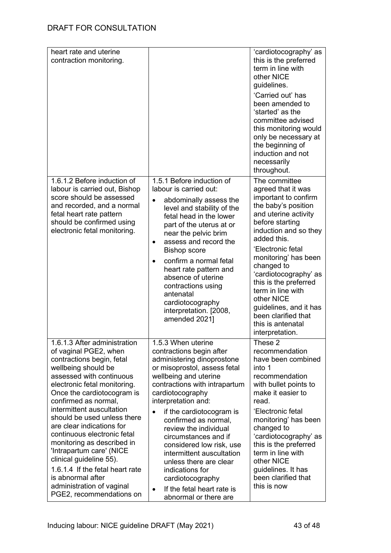| heart rate and uterine<br>contraction monitoring.                                                                                                                                                                                                                                                                                                                                                                                                                                                                                                         |                                                                                                                                                                                                                                                                                                                                                                                                                                                                                                                                   | 'cardiotocography' as<br>this is the preferred<br>term in line with<br>other NICE<br>guidelines.<br>'Carried out' has<br>been amended to<br>'started' as the<br>committee advised<br>this monitoring would<br>only be necessary at<br>the beginning of<br>induction and not<br>necessarily<br>throughout.                                                                                                      |
|-----------------------------------------------------------------------------------------------------------------------------------------------------------------------------------------------------------------------------------------------------------------------------------------------------------------------------------------------------------------------------------------------------------------------------------------------------------------------------------------------------------------------------------------------------------|-----------------------------------------------------------------------------------------------------------------------------------------------------------------------------------------------------------------------------------------------------------------------------------------------------------------------------------------------------------------------------------------------------------------------------------------------------------------------------------------------------------------------------------|----------------------------------------------------------------------------------------------------------------------------------------------------------------------------------------------------------------------------------------------------------------------------------------------------------------------------------------------------------------------------------------------------------------|
| 1.6.1.2 Before induction of<br>labour is carried out, Bishop<br>score should be assessed<br>and recorded, and a normal<br>fetal heart rate pattern<br>should be confirmed using<br>electronic fetal monitoring.                                                                                                                                                                                                                                                                                                                                           | 1.5.1 Before induction of<br>labour is carried out:<br>abdominally assess the<br>level and stability of the<br>fetal head in the lower<br>part of the uterus at or<br>near the pelvic brim<br>assess and record the<br>$\bullet$<br><b>Bishop score</b><br>confirm a normal fetal<br>$\bullet$<br>heart rate pattern and<br>absence of uterine<br>contractions using<br>antenatal<br>cardiotocography<br>interpretation. [2008,<br>amended 2021]                                                                                  | The committee<br>agreed that it was<br>important to confirm<br>the baby's position<br>and uterine activity<br>before starting<br>induction and so they<br>added this.<br>'Electronic fetal<br>monitoring' has been<br>changed to<br>'cardiotocography' as<br>this is the preferred<br>term in line with<br>other NICE<br>guidelines, and it has<br>been clarified that<br>this is antenatal<br>interpretation. |
| 1.6.1.3 After administration<br>of vaginal PGE2, when<br>contractions begin, fetal<br>wellbeing should be<br>assessed with continuous<br>electronic fetal monitoring.<br>Once the cardiotocogram is<br>confirmed as normal,<br>intermittent auscultation<br>should be used unless there<br>are clear indications for<br>continuous electronic fetal<br>monitoring as described in<br>'Intrapartum care' (NICE<br>clinical guideline 55).<br>1.6.1.4 If the fetal heart rate<br>is abnormal after<br>administration of vaginal<br>PGE2, recommendations on | 1.5.3 When uterine<br>contractions begin after<br>administering dinoprostone<br>or misoprostol, assess fetal<br>wellbeing and uterine<br>contractions with intrapartum<br>cardiotocography<br>interpretation and:<br>if the cardiotocogram is<br>$\bullet$<br>confirmed as normal,<br>review the individual<br>circumstances and if<br>considered low risk, use<br>intermittent auscultation<br>unless there are clear<br>indications for<br>cardiotocography<br>If the fetal heart rate is<br>$\bullet$<br>abnormal or there are | These 2<br>recommendation<br>have been combined<br>into 1<br>recommendation<br>with bullet points to<br>make it easier to<br>read.<br>'Electronic fetal<br>monitoring' has been<br>changed to<br>'cardiotocography' as<br>this is the preferred<br>term in line with<br>other NICE<br>guidelines. It has<br>been clarified that<br>this is now                                                                 |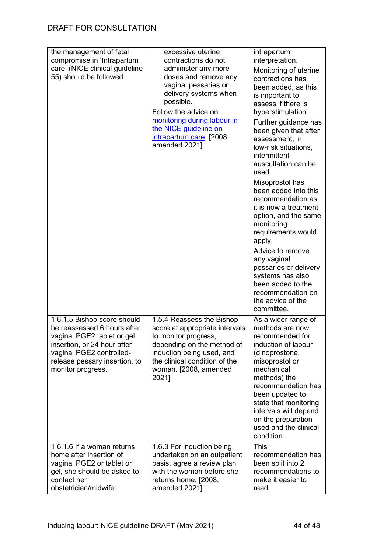| the management of fetal<br>compromise in 'Intrapartum<br>care' (NICE clinical guideline<br>55) should be followed.                                                                                        | excessive uterine<br>contractions do not<br>administer any more<br>doses and remove any<br>vaginal pessaries or<br>delivery systems when<br>possible.<br>Follow the advice on<br>monitoring during labour in<br>the NICE guideline on<br>intrapartum care [2008,<br>amended 2021] | intrapartum<br>interpretation.<br>Monitoring of uterine<br>contractions has<br>been added, as this<br>is important to<br>assess if there is<br>hyperstimulation.<br>Further guidance has<br>been given that after<br>assessment, in<br>low-risk situations,<br>intermittent<br>auscultation can be<br>used.<br>Misoprostol has<br>been added into this<br>recommendation as<br>it is now a treatment<br>option, and the same<br>monitoring<br>requirements would<br>apply.<br>Advice to remove<br>any vaginal<br>pessaries or delivery<br>systems has also<br>been added to the<br>recommendation on<br>the advice of the<br>committee. |
|-----------------------------------------------------------------------------------------------------------------------------------------------------------------------------------------------------------|-----------------------------------------------------------------------------------------------------------------------------------------------------------------------------------------------------------------------------------------------------------------------------------|-----------------------------------------------------------------------------------------------------------------------------------------------------------------------------------------------------------------------------------------------------------------------------------------------------------------------------------------------------------------------------------------------------------------------------------------------------------------------------------------------------------------------------------------------------------------------------------------------------------------------------------------|
| 1.6.1.5 Bishop score should<br>be reassessed 6 hours after<br>vaginal PGE2 tablet or gel<br>insertion, or 24 hour after<br>vaginal PGE2 controlled-<br>release pessary insertion, to<br>monitor progress. | 1.5.4 Reassess the Bishop<br>score at appropriate intervals<br>to monitor progress,<br>depending on the method of<br>induction being used, and<br>the clinical condition of the<br>woman. [2008, amended<br>2021]                                                                 | As a wider range of<br>methods are now<br>recommended for<br>induction of labour<br>(dinoprostone,<br>misoprostol or<br>mechanical<br>methods) the<br>recommendation has<br>been updated to<br>state that monitoring<br>intervals will depend<br>on the preparation<br>used and the clinical<br>condition.                                                                                                                                                                                                                                                                                                                              |
| 1.6.1.6 If a woman returns<br>home after insertion of<br>vaginal PGE2 or tablet or<br>gel, she should be asked to<br>contact her<br>obstetrician/midwife:                                                 | 1.6.3 For induction being<br>undertaken on an outpatient<br>basis, agree a review plan<br>with the woman before she<br>returns home. [2008,<br>amended 2021]                                                                                                                      | <b>This</b><br>recommendation has<br>been split into 2<br>recommendations to<br>make it easier to<br>read.                                                                                                                                                                                                                                                                                                                                                                                                                                                                                                                              |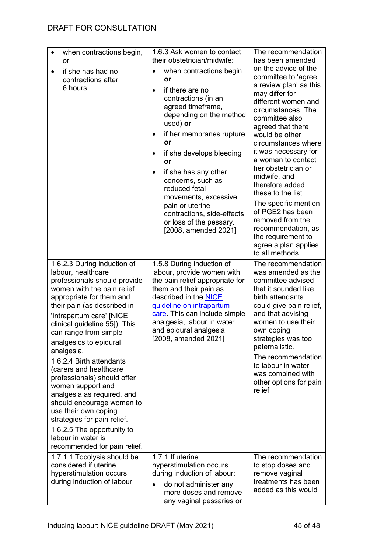| when contractions begin,<br>$\bullet$<br>or<br>if she has had no<br>contractions after<br>6 hours.                                                                                                                                                                                                                                                                                                                                                                                                                                                                                                                       | 1.6.3 Ask women to contact<br>their obstetrician/midwife:<br>when contractions begin<br>$\bullet$<br>or<br>if there are no<br>$\bullet$<br>contractions (in an<br>agreed timeframe,<br>depending on the method<br>used) or<br>if her membranes rupture<br>$\bullet$<br>or<br>if she develops bleeding<br>$\bullet$<br>or<br>if she has any other<br>$\bullet$<br>concerns, such as<br>reduced fetal<br>movements, excessive<br>pain or uterine<br>contractions, side-effects<br>or loss of the pessary.<br>[2008, amended 2021] | The recommendation<br>has been amended<br>on the advice of the<br>committee to 'agree<br>a review plan' as this<br>may differ for<br>different women and<br>circumstances. The<br>committee also<br>agreed that there<br>would be other<br>circumstances where<br>it was necessary for<br>a woman to contact<br>her obstetrician or<br>midwife, and<br>therefore added<br>these to the list.<br>The specific mention<br>of PGE2 has been<br>removed from the<br>recommendation, as<br>the requirement to<br>agree a plan applies<br>to all methods. |
|--------------------------------------------------------------------------------------------------------------------------------------------------------------------------------------------------------------------------------------------------------------------------------------------------------------------------------------------------------------------------------------------------------------------------------------------------------------------------------------------------------------------------------------------------------------------------------------------------------------------------|---------------------------------------------------------------------------------------------------------------------------------------------------------------------------------------------------------------------------------------------------------------------------------------------------------------------------------------------------------------------------------------------------------------------------------------------------------------------------------------------------------------------------------|-----------------------------------------------------------------------------------------------------------------------------------------------------------------------------------------------------------------------------------------------------------------------------------------------------------------------------------------------------------------------------------------------------------------------------------------------------------------------------------------------------------------------------------------------------|
| 1.6.2.3 During induction of<br>labour, healthcare<br>professionals should provide<br>women with the pain relief<br>appropriate for them and<br>their pain (as described in<br>'Intrapartum care' [NICE<br>clinical guideline 55]). This<br>can range from simple<br>analgesics to epidural<br>analgesia.<br>1.6.2.4 Birth attendants<br>(carers and healthcare<br>professionals) should offer<br>women support and<br>analgesia as required, and<br>should encourage women to<br>use their own coping<br>strategies for pain relief.<br>1.6.2.5 The opportunity to<br>labour in water is<br>recommended for pain relief. | 1.5.8 During induction of<br>labour, provide women with<br>the pain relief appropriate for<br>them and their pain as<br>described in the NICE<br>guideline on intrapartum<br>care. This can include simple<br>analgesia, labour in water<br>and epidural analgesia.<br>[2008, amended 2021]                                                                                                                                                                                                                                     | The recommendation<br>was amended as the<br>committee advised<br>that it sounded like<br>birth attendants<br>could give pain relief,<br>and that advising<br>women to use their<br>own coping<br>strategies was too<br>paternalistic.<br>The recommendation<br>to labour in water<br>was combined with<br>other options for pain<br>relief                                                                                                                                                                                                          |
| 1.7.1.1 Tocolysis should be<br>considered if uterine<br>hyperstimulation occurs<br>during induction of labour.                                                                                                                                                                                                                                                                                                                                                                                                                                                                                                           | 1.7.1 If uterine<br>hyperstimulation occurs<br>during induction of labour:<br>do not administer any<br>$\bullet$<br>more doses and remove<br>any vaginal pessaries or                                                                                                                                                                                                                                                                                                                                                           | The recommendation<br>to stop doses and<br>remove vaginal<br>treatments has been<br>added as this would                                                                                                                                                                                                                                                                                                                                                                                                                                             |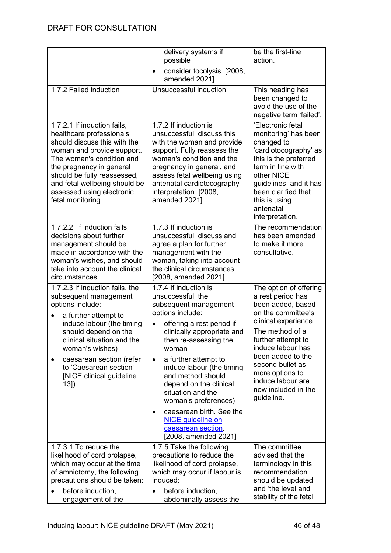|                                                                                                                                                                                                                                                                                                                            | delivery systems if<br>possible<br>consider tocolysis. [2008,<br>$\bullet$<br>amended 2021]                                                                                                                                                                                                                                                                                                                                                                                        | be the first-line<br>action.                                                                                                                                                                                                                                                                       |
|----------------------------------------------------------------------------------------------------------------------------------------------------------------------------------------------------------------------------------------------------------------------------------------------------------------------------|------------------------------------------------------------------------------------------------------------------------------------------------------------------------------------------------------------------------------------------------------------------------------------------------------------------------------------------------------------------------------------------------------------------------------------------------------------------------------------|----------------------------------------------------------------------------------------------------------------------------------------------------------------------------------------------------------------------------------------------------------------------------------------------------|
| 1.7.2 Failed induction                                                                                                                                                                                                                                                                                                     | Unsuccessful induction                                                                                                                                                                                                                                                                                                                                                                                                                                                             | This heading has<br>been changed to<br>avoid the use of the<br>negative term 'failed'.                                                                                                                                                                                                             |
| 1.7.2.1 If induction fails,<br>healthcare professionals<br>should discuss this with the<br>woman and provide support.<br>The woman's condition and<br>the pregnancy in general<br>should be fully reassessed,<br>and fetal wellbeing should be<br>assessed using electronic<br>fetal monitoring.                           | 1.7.2 If induction is<br>unsuccessful, discuss this<br>with the woman and provide<br>support. Fully reassess the<br>woman's condition and the<br>pregnancy in general, and<br>assess fetal wellbeing using<br>antenatal cardiotocography<br>interpretation. [2008,<br>amended 2021]                                                                                                                                                                                                | 'Electronic fetal<br>monitoring' has been<br>changed to<br>'cardiotocography' as<br>this is the preferred<br>term in line with<br>other NICE<br>guidelines, and it has<br>been clarified that<br>this is using<br>antenatal<br>interpretation.                                                     |
| 1.7.2.2. If induction fails,<br>decisions about further<br>management should be<br>made in accordance with the<br>woman's wishes, and should<br>take into account the clinical<br>circumstances.                                                                                                                           | 1.7.3 If induction is<br>unsuccessful, discuss and<br>agree a plan for further<br>management with the<br>woman, taking into account<br>the clinical circumstances.<br>[2008, amended 2021]                                                                                                                                                                                                                                                                                         | The recommendation<br>has been amended<br>to make it more<br>consultative.                                                                                                                                                                                                                         |
| 1.7.2.3 If induction fails, the<br>subsequent management<br>options include:<br>a further attempt to<br>٠<br>induce labour (the timing<br>should depend on the<br>clinical situation and the<br>woman's wishes)<br>caesarean section (refer<br>$\bullet$<br>to 'Caesarean section'<br>[NICE clinical guideline<br>$13]$ ). | 1.7.4 If induction is<br>unsuccessful, the<br>subsequent management<br>options include:<br>offering a rest period if<br>$\bullet$<br>clinically appropriate and<br>then re-assessing the<br>woman<br>a further attempt to<br>$\bullet$<br>induce labour (the timing<br>and method should<br>depend on the clinical<br>situation and the<br>woman's preferences)<br>caesarean birth. See the<br>$\bullet$<br><b>NICE</b> guideline on<br>caesarean section.<br>[2008, amended 2021] | The option of offering<br>a rest period has<br>been added, based<br>on the committee's<br>clinical experience.<br>The method of a<br>further attempt to<br>induce labour has<br>been added to the<br>second bullet as<br>more options to<br>induce labour are<br>now included in the<br>guideline. |
| 1.7.3.1 To reduce the<br>likelihood of cord prolapse,<br>which may occur at the time<br>of amniotomy, the following<br>precautions should be taken:<br>before induction,<br>engagement of the                                                                                                                              | 1.7.5 Take the following<br>precautions to reduce the<br>likelihood of cord prolapse,<br>which may occur if labour is<br>induced:<br>before induction,<br>abdominally assess the                                                                                                                                                                                                                                                                                                   | The committee<br>advised that the<br>terminology in this<br>recommendation<br>should be updated<br>and 'the level and<br>stability of the fetal                                                                                                                                                    |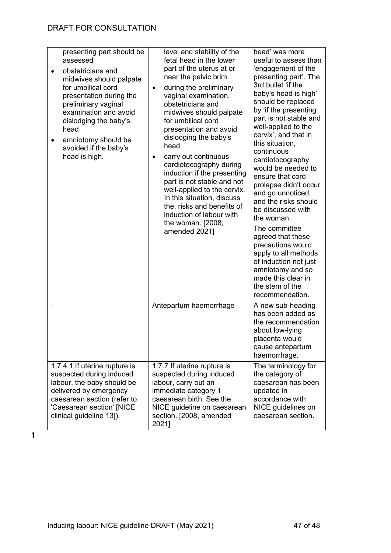| presenting part should be<br>assessed<br>obstetricians and<br>midwives should palpate<br>for umbilical cord<br>presentation during the<br>preliminary vaginal<br>examination and avoid<br>dislodging the baby's<br>head<br>amniotomy should be<br>avoided if the baby's<br>head is high. | level and stability of the<br>fetal head in the lower<br>part of the uterus at or<br>near the pelvic brim<br>during the preliminary<br>$\bullet$<br>vaginal examination,<br>obstetricians and<br>midwives should palpate<br>for umbilical cord<br>presentation and avoid<br>dislodging the baby's<br>head<br>carry out continuous<br>cardiotocography during<br>induction if the presenting<br>part is not stable and not<br>well-applied to the cervix.<br>In this situation, discuss<br>the. risks and benefits of<br>induction of labour with<br>the woman. [2008,<br>amended 2021] | head' was more<br>useful to assess than<br>'engagement of the<br>presenting part'. The<br>3rd bullet 'if the<br>baby's head is high'<br>should be replaced<br>by 'if the presenting<br>part is not stable and<br>well-applied to the<br>cervix', and that in<br>this situation,<br>continuous<br>cardiotocography<br>would be needed to<br>ensure that cord<br>prolapse didn't occur<br>and go unnoticed,<br>and the risks should<br>be discussed with<br>the woman.<br>The committee<br>agreed that these<br>precautions would<br>apply to all methods<br>of induction not just<br>amniotomy and so<br>made this clear in<br>the stem of the<br>recommendation. |
|------------------------------------------------------------------------------------------------------------------------------------------------------------------------------------------------------------------------------------------------------------------------------------------|----------------------------------------------------------------------------------------------------------------------------------------------------------------------------------------------------------------------------------------------------------------------------------------------------------------------------------------------------------------------------------------------------------------------------------------------------------------------------------------------------------------------------------------------------------------------------------------|------------------------------------------------------------------------------------------------------------------------------------------------------------------------------------------------------------------------------------------------------------------------------------------------------------------------------------------------------------------------------------------------------------------------------------------------------------------------------------------------------------------------------------------------------------------------------------------------------------------------------------------------------------------|
|                                                                                                                                                                                                                                                                                          | Antepartum haemorrhage                                                                                                                                                                                                                                                                                                                                                                                                                                                                                                                                                                 | A new sub-heading<br>has been added as<br>the recommendation<br>about low-lying<br>placenta would<br>cause antepartum<br>haemorrhage.                                                                                                                                                                                                                                                                                                                                                                                                                                                                                                                            |
| 1.7.4.1 If uterine rupture is<br>suspected during induced<br>labour, the baby should be<br>delivered by emergency<br>caesarean section (refer to<br>'Caesarean section' [NICE<br>clinical guideline 13]).                                                                                | 1.7.7 If uterine rupture is<br>suspected during induced<br>labour, carry out an<br>immediate category 1<br>caesarean birth. See the<br>NICE guideline on caesarean<br>section. [2008, amended<br>2021]                                                                                                                                                                                                                                                                                                                                                                                 | The terminology for<br>the category of<br>caesarean has been<br>updated in<br>accordance with<br>NICE guidelines on<br>caesarean section.                                                                                                                                                                                                                                                                                                                                                                                                                                                                                                                        |

1